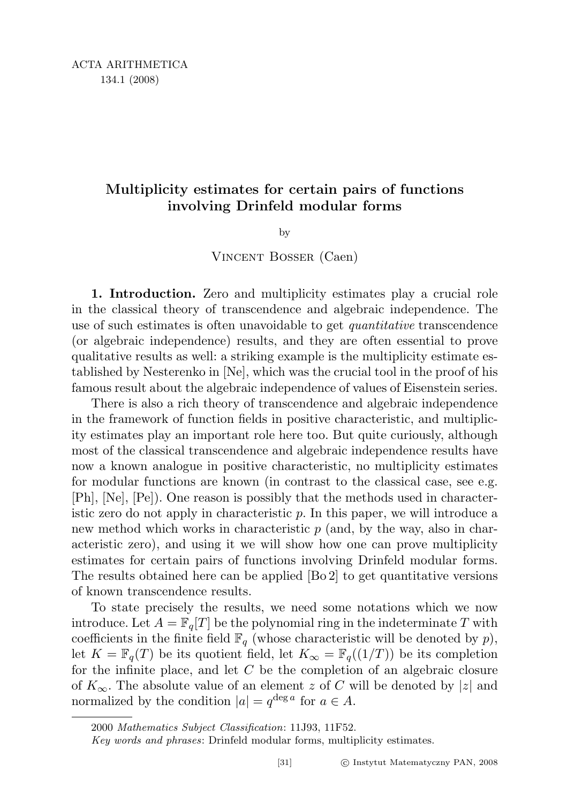# Multiplicity estimates for certain pairs of functions involving Drinfeld modular forms

by

# Vincent Bosser (Caen)

1. Introduction. Zero and multiplicity estimates play a crucial role in the classical theory of transcendence and algebraic independence. The use of such estimates is often unavoidable to get *quantitative* transcendence (or algebraic independence) results, and they are often essential to prove qualitative results as well: a striking example is the multiplicity estimate established by Nesterenko in [Ne], which was the crucial tool in the proof of his famous result about the algebraic independence of values of Eisenstein series.

There is also a rich theory of transcendence and algebraic independence in the framework of function fields in positive characteristic, and multiplicity estimates play an important role here too. But quite curiously, although most of the classical transcendence and algebraic independence results have now a known analogue in positive characteristic, no multiplicity estimates for modular functions are known (in contrast to the classical case, see e.g. [Ph], [Ne], [Pe]). One reason is possibly that the methods used in characteristic zero do not apply in characteristic  $p$ . In this paper, we will introduce a new method which works in characteristic  $p$  (and, by the way, also in characteristic zero), and using it we will show how one can prove multiplicity estimates for certain pairs of functions involving Drinfeld modular forms. The results obtained here can be applied [Bo 2] to get quantitative versions of known transcendence results.

To state precisely the results, we need some notations which we now introduce. Let  $A = \mathbb{F}_q[T]$  be the polynomial ring in the indeterminate T with coefficients in the finite field  $\mathbb{F}_q$  (whose characteristic will be denoted by p), let  $K = \mathbb{F}_q(T)$  be its quotient field, let  $K_\infty = \mathbb{F}_q((1/T))$  be its completion for the infinite place, and let C be the completion of an algebraic closure of  $K_{\infty}$ . The absolute value of an element z of C will be denoted by |z| and normalized by the condition  $|a| = q^{\deg a}$  for  $a \in A$ .

<sup>2000</sup> Mathematics Subject Classification: 11J93, 11F52.

Key words and phrases: Drinfeld modular forms, multiplicity estimates.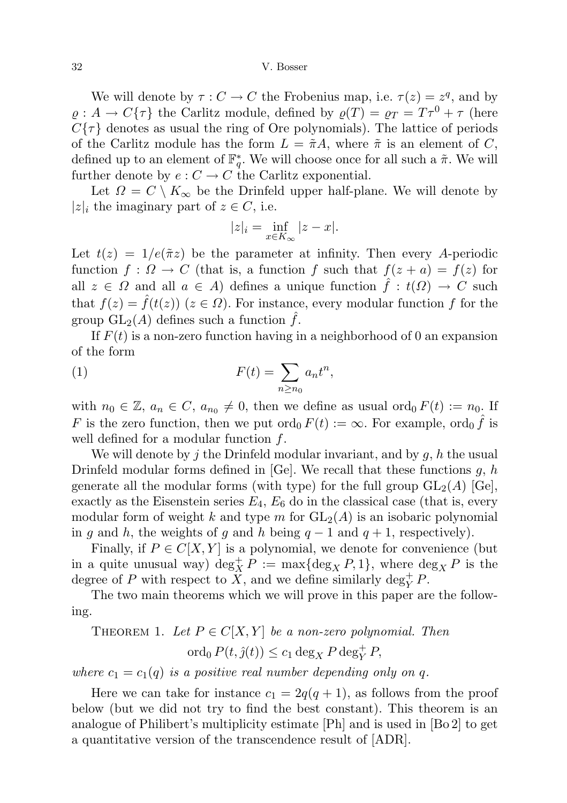We will denote by  $\tau: C \to C$  the Frobenius map, i.e.  $\tau(z) = z^q$ , and by  $\rho: A \to C\{\tau\}$  the Carlitz module, defined by  $\rho(T) = \rho_T = T\tau^0 + \tau$  (here  $C\{\tau\}$  denotes as usual the ring of Ore polynomials). The lattice of periods of the Carlitz module has the form  $L = \tilde{\pi}A$ , where  $\tilde{\pi}$  is an element of C, defined up to an element of  $\mathbb{F}_q^*$ . We will choose once for all such a  $\tilde{\pi}$ . We will further denote by  $e: C \to C$  the Carlitz exponential.

Let  $\Omega = C \setminus K_{\infty}$  be the Drinfeld upper half-plane. We will denote by  $|z|_i$  the imaginary part of  $z \in C$ , i.e.

$$
|z|_i = \inf_{x \in K_\infty} |z - x|.
$$

Let  $t(z) = 1/e(\tilde{\pi}z)$  be the parameter at infinity. Then every A-periodic function  $f: \Omega \to C$  (that is, a function f such that  $f(z + a) = f(z)$  for all  $z \in \Omega$  and all  $a \in A$ ) defines a unique function  $\hat{f} : t(\Omega) \to C$  such that  $f(z) = f(t(z))$   $(z \in \Omega)$ . For instance, every modular function f for the group  $GL_2(A)$  defines such a function  $\hat{f}$ .

If  $F(t)$  is a non-zero function having in a neighborhood of 0 an expansion of the form

(1) 
$$
F(t) = \sum_{n \ge n_0} a_n t^n,
$$

with  $n_0 \in \mathbb{Z}$ ,  $a_n \in C$ ,  $a_{n_0} \neq 0$ , then we define as usual ord<sub>0</sub>  $F(t) := n_0$ . If F is the zero function, then we put  $\text{ord}_0 F(t) := \infty$ . For example,  $\text{ord}_0 \hat{f}$  is well defined for a modular function  $f$ .

We will denote by j the Drinfeld modular invariant, and by  $g, h$  the usual Drinfeld modular forms defined in  $[Ge]$ . We recall that these functions g, h generate all the modular forms (with type) for the full group  $GL_2(A)$  [Ge], exactly as the Eisenstein series  $E_4, E_6$  do in the classical case (that is, every modular form of weight k and type m for  $GL_2(A)$  is an isobaric polynomial in g and h, the weights of g and h being  $q-1$  and  $q+1$ , respectively).

Finally, if  $P \in C[X, Y]$  is a polynomial, we denote for convenience (but in a quite unusual way)  $\deg_X^+ P := \max\{\deg_X P, 1\}$ , where  $\deg_X P$  is the degree of P with respect to  $\ddot{X}$ , and we define similarly  $\deg_Y^+ P$ .

The two main theorems which we will prove in this paper are the following.

THEOREM 1. Let 
$$
P \in C[X, Y]
$$
 be a non-zero polynomial. Then  
\n
$$
\operatorname{ord}_0 P(t, \hat{j}(t)) \le c_1 \deg_X P \deg_Y^+ P,
$$

where  $c_1 = c_1(q)$  is a positive real number depending only on q.

Here we can take for instance  $c_1 = 2q(q + 1)$ , as follows from the proof below (but we did not try to find the best constant). This theorem is an analogue of Philibert's multiplicity estimate [Ph] and is used in [Bo 2] to get a quantitative version of the transcendence result of [ADR].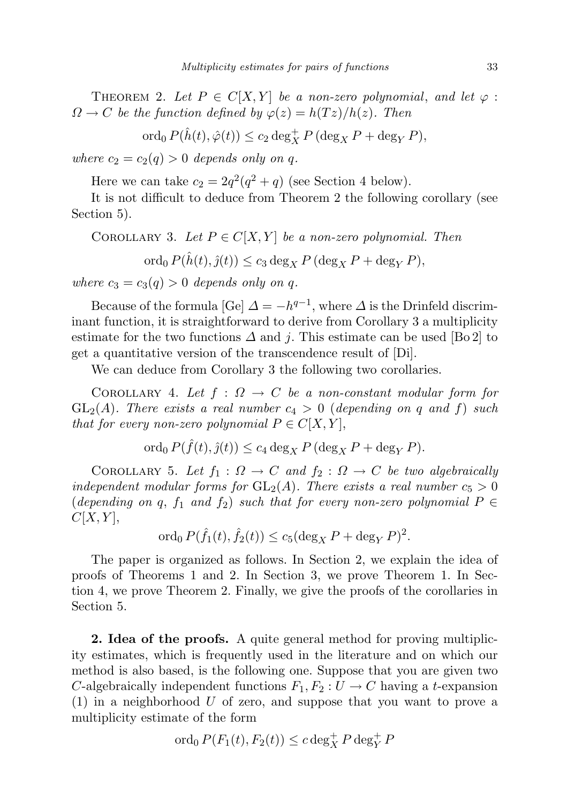THEOREM 2. Let  $P \in C[X, Y]$  be a non-zero polynomial, and let  $\varphi$ :  $\Omega \to C$  be the function defined by  $\varphi(z) = h(Tz)/h(z)$ . Then

ord<sub>0</sub>  $P(\hat{h}(t), \hat{\varphi}(t)) \leq c_2 \deg_X^+ P (\deg_X P + \deg_Y P),$ 

where  $c_2 = c_2(q) > 0$  depends only on q.

Here we can take  $c_2 = 2q^2(q^2 + q)$  (see Section 4 below).

It is not difficult to deduce from Theorem 2 the following corollary (see Section 5).

COROLLARY 3. Let  $P \in C[X, Y]$  be a non-zero polynomial. Then

ord<sub>0</sub>  $P(\hat{h}(t), \hat{g}(t)) \leq c_3 \deg_X P (\deg_X P + \deg_Y P),$ 

where  $c_3 = c_3(q) > 0$  depends only on q.

Because of the formula [Ge]  $\Delta = -h^{q-1}$ , where  $\Delta$  is the Drinfeld discriminant function, it is straightforward to derive from Corollary 3 a multiplicity estimate for the two functions  $\Delta$  and j. This estimate can be used [Bo 2] to get a quantitative version of the transcendence result of [Di].

We can deduce from Corollary 3 the following two corollaries.

COROLLARY 4. Let  $f : \Omega \to C$  be a non-constant modular form for  $GL_2(A)$ . There exists a real number  $c_4 > 0$  (depending on q and f) such that for every non-zero polynomial  $P \in C[X, Y]$ ,

$$
\operatorname{ord}_0 P(\hat{f}(t),\hat{g}(t)) \le c_4 \deg_X P(\deg_X P + \deg_Y P).
$$

COROLLARY 5. Let  $f_1 : \Omega \to C$  and  $f_2 : \Omega \to C$  be two algebraically independent modular forms for  $GL_2(A)$ . There exists a real number  $c_5 > 0$ (depending on q,  $f_1$  and  $f_2$ ) such that for every non-zero polynomial  $P \in$  $C[X, Y],$ 

$$
\operatorname{ord}_0 P(\hat{f}_1(t), \hat{f}_2(t)) \le c_5 (\deg_X P + \deg_Y P)^2.
$$

The paper is organized as follows. In Section 2, we explain the idea of proofs of Theorems 1 and 2. In Section 3, we prove Theorem 1. In Section 4, we prove Theorem 2. Finally, we give the proofs of the corollaries in Section 5.

2. Idea of the proofs. A quite general method for proving multiplicity estimates, which is frequently used in the literature and on which our method is also based, is the following one. Suppose that you are given two C-algebraically independent functions  $F_1, F_2 : U \to C$  having a t-expansion (1) in a neighborhood U of zero, and suppose that you want to prove a multiplicity estimate of the form

$$
\operatorname{ord}_0 P(F_1(t), F_2(t)) \le c \deg_X^+ P \deg_Y^+ P
$$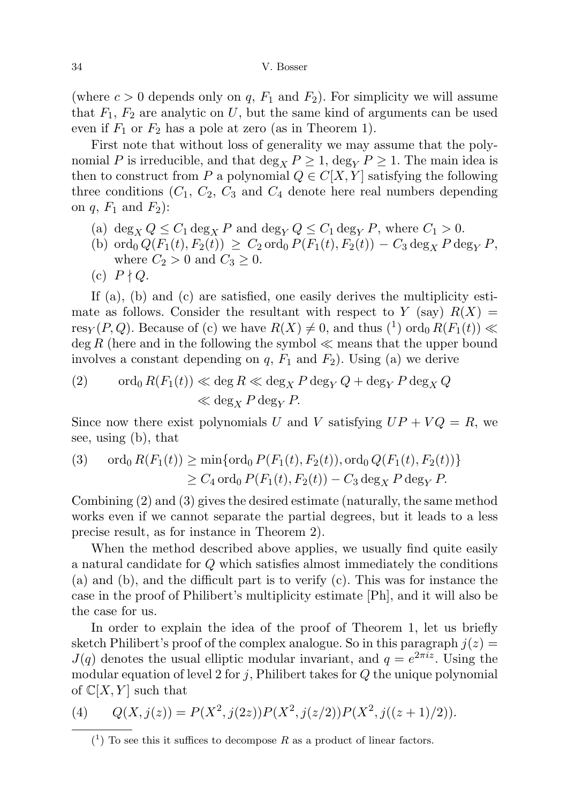(where  $c > 0$  depends only on q,  $F_1$  and  $F_2$ ). For simplicity we will assume that  $F_1, F_2$  are analytic on U, but the same kind of arguments can be used even if  $F_1$  or  $F_2$  has a pole at zero (as in Theorem 1).

First note that without loss of generality we may assume that the polynomial P is irreducible, and that deg<sub>X</sub>  $P \ge 1$ , deg<sub>V</sub>  $P \ge 1$ . The main idea is then to construct from P a polynomial  $Q \in C[X, Y]$  satisfying the following three conditions  $(C_1, C_2, C_3$  and  $C_4$  denote here real numbers depending on  $q$ ,  $F_1$  and  $F_2$ :

- (a)  $\deg_X Q \leq C_1 \deg_X P$  and  $\deg_Y Q \leq C_1 \deg_Y P$ , where  $C_1 > 0$ .
- (b) ord<sub>0</sub>  $Q(F_1(t), F_2(t)) \geq C_2$  ord<sub>0</sub>  $P(F_1(t), F_2(t)) C_3 \deg_X P \deg_Y P$ , where  $C_2 > 0$  and  $C_3 \geq 0$ .
- (c)  $P \nmid Q$ .

If (a), (b) and (c) are satisfied, one easily derives the multiplicity estimate as follows. Consider the resultant with respect to Y (say)  $R(X) =$ res<sub>Y</sub>(P,Q). Because of (c) we have  $R(X) \neq 0$ , and thus (<sup>1</sup>) ord<sub>0</sub>  $R(F_1(t)) \ll$  $\deg R$  (here and in the following the symbol  $\ll$  means that the upper bound involves a constant depending on  $q$ ,  $F_1$  and  $F_2$ ). Using (a) we derive

(2) 
$$
\operatorname{ord}_0 R(F_1(t)) \ll \deg R \ll \deg_X P \deg_Y Q + \deg_Y P \deg_X Q
$$

$$
\ll \deg_X P \deg_Y P.
$$

Since now there exist polynomials U and V satisfying  $UP + VQ = R$ , we see, using (b), that

(3) 
$$
\text{ord}_0 R(F_1(t)) \ge \min\{\text{ord}_0 P(F_1(t), F_2(t)), \text{ord}_0 Q(F_1(t), F_2(t))\}
$$

$$
\ge C_4 \text{ ord}_0 P(F_1(t), F_2(t)) - C_3 \text{ deg}_X P \text{ deg}_Y P.
$$

Combining (2) and (3) gives the desired estimate (naturally, the same method works even if we cannot separate the partial degrees, but it leads to a less precise result, as for instance in Theorem 2).

When the method described above applies, we usually find quite easily a natural candidate for Q which satisfies almost immediately the conditions (a) and (b), and the difficult part is to verify (c). This was for instance the case in the proof of Philibert's multiplicity estimate [Ph], and it will also be the case for us.

In order to explain the idea of the proof of Theorem 1, let us briefly sketch Philibert's proof of the complex analogue. So in this paragraph  $j(z)$  =  $J(q)$  denotes the usual elliptic modular invariant, and  $q = e^{2\pi i z}$ . Using the modular equation of level 2 for j, Philibert takes for  $Q$  the unique polynomial of  $\mathbb{C}[X, Y]$  such that

(4) 
$$
Q(X, j(z)) = P(X^2, j(2z))P(X^2, j(z/2))P(X^2, j((z+1)/2)).
$$

 $(1)$  To see this it suffices to decompose R as a product of linear factors.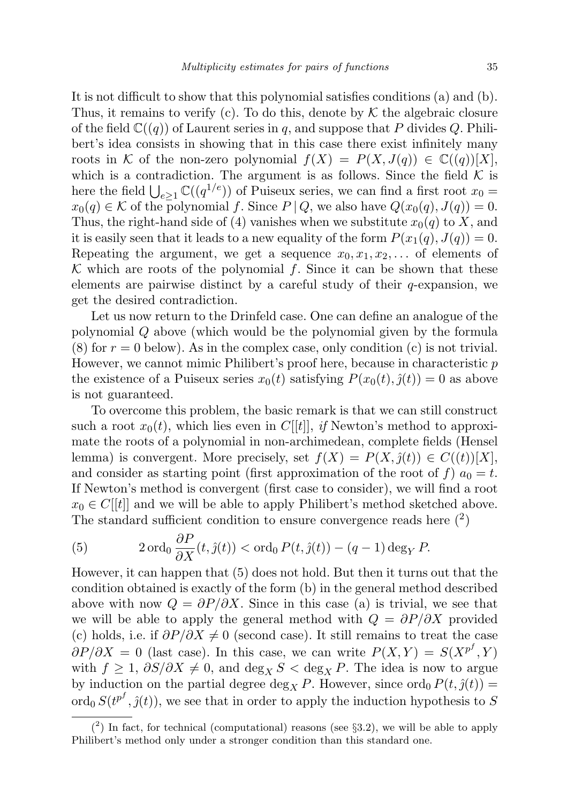It is not difficult to show that this polynomial satisfies conditions (a) and (b). Thus, it remains to verify (c). To do this, denote by  $K$  the algebraic closure of the field  $\mathbb{C}((q))$  of Laurent series in q, and suppose that P divides Q. Philibert's idea consists in showing that in this case there exist infinitely many roots in K of the non-zero polynomial  $f(X) = P(X, J(q)) \in \mathbb{C}((q))[X]$ , which is a contradiction. The argument is as follows. Since the field  $K$  is here the field  $\bigcup_{e\geq 1} \mathbb{C}((q^{1/e}))$  of Puiseux series, we can find a first root  $x_0 =$  $x_0(q) \in \mathcal{K}$  of the polynomial f. Since  $P | Q$ , we also have  $Q(x_0(q), J(q)) = 0$ . Thus, the right-hand side of (4) vanishes when we substitute  $x_0(q)$  to X, and it is easily seen that it leads to a new equality of the form  $P(x_1(q), J(q)) = 0$ . Repeating the argument, we get a sequence  $x_0, x_1, x_2, \ldots$  of elements of  $\mathcal K$  which are roots of the polynomial f. Since it can be shown that these elements are pairwise distinct by a careful study of their q-expansion, we get the desired contradiction.

Let us now return to the Drinfeld case. One can define an analogue of the polynomial Q above (which would be the polynomial given by the formula  $(8)$  for  $r = 0$  below). As in the complex case, only condition  $(c)$  is not trivial. However, we cannot mimic Philibert's proof here, because in characteristic  $p$ the existence of a Puiseux series  $x_0(t)$  satisfying  $P(x_0(t), \hat{y}(t)) = 0$  as above is not guaranteed.

To overcome this problem, the basic remark is that we can still construct such a root  $x_0(t)$ , which lies even in C[[t]], if Newton's method to approximate the roots of a polynomial in non-archimedean, complete fields (Hensel lemma) is convergent. More precisely, set  $f(X) = P(X, \hat{j}(t)) \in C((t))[X],$ and consider as starting point (first approximation of the root of f)  $a_0 = t$ . If Newton's method is convergent (first case to consider), we will find a root  $x_0 \in C[[t]]$  and we will be able to apply Philibert's method sketched above. The standard sufficient condition to ensure convergence reads here  $(2)$ 

(5) 
$$
2 \operatorname{ord}_0 \frac{\partial P}{\partial X}(t, \hat{\jmath}(t)) < \operatorname{ord}_0 P(t, \hat{\jmath}(t)) - (q-1) \operatorname{deg}_Y P.
$$

However, it can happen that (5) does not hold. But then it turns out that the condition obtained is exactly of the form (b) in the general method described above with now  $Q = \partial P / \partial X$ . Since in this case (a) is trivial, we see that we will be able to apply the general method with  $Q = \partial P/\partial X$  provided (c) holds, i.e. if  $\partial P/\partial X \neq 0$  (second case). It still remains to treat the case  $\partial P/\partial X = 0$  (last case). In this case, we can write  $P(X,Y) = S(X^{p^f}, Y)$ with  $f \geq 1$ ,  $\partial S/\partial X \neq 0$ , and  $\deg_X S < \deg_X P$ . The idea is now to argue by induction on the partial degree deg<sub>X</sub> P. However, since ord<sub>0</sub>  $P(t, \hat{j}(t)) =$ ord<sub>0</sub>  $S(t^{p^f}, \hat{J}(t))$ , we see that in order to apply the induction hypothesis to S

 $(2)$  In fact, for technical (computational) reasons (see §3.2), we will be able to apply Philibert's method only under a stronger condition than this standard one.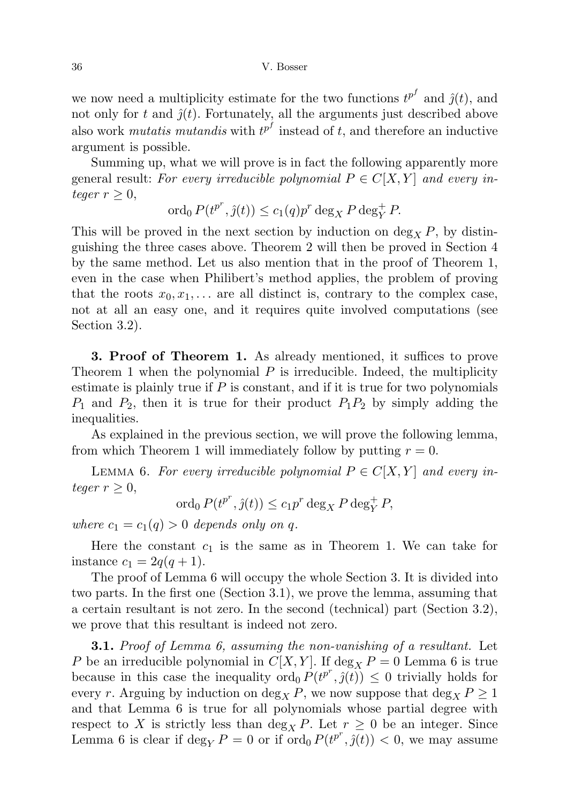we now need a multiplicity estimate for the two functions  $t^{p^f}$  and  $\hat{j}(t)$ , and not only for t and  $\hat{j}(t)$ . Fortunately, all the arguments just described above also work *mutatis mutandis* with  $t^{p^f}$  instead of t, and therefore an inductive argument is possible.

Summing up, what we will prove is in fact the following apparently more general result: For every irreducible polynomial  $P \in C[X, Y]$  and every integer  $r \geq 0$ ,

ord<sub>0</sub>  $P(t^{p^r}, \hat{y}(t)) \le c_1(q)p^r \deg_X P \deg_Y^+ P$ .

This will be proved in the next section by induction on  $\deg_X P$ , by distinguishing the three cases above. Theorem 2 will then be proved in Section 4 by the same method. Let us also mention that in the proof of Theorem 1, even in the case when Philibert's method applies, the problem of proving that the roots  $x_0, x_1, \ldots$  are all distinct is, contrary to the complex case, not at all an easy one, and it requires quite involved computations (see Section 3.2).

3. Proof of Theorem 1. As already mentioned, it suffices to prove Theorem 1 when the polynomial  $P$  is irreducible. Indeed, the multiplicity estimate is plainly true if  $P$  is constant, and if it is true for two polynomials  $P_1$  and  $P_2$ , then it is true for their product  $P_1P_2$  by simply adding the inequalities.

As explained in the previous section, we will prove the following lemma, from which Theorem 1 will immediately follow by putting  $r = 0$ .

LEMMA 6. For every irreducible polynomial  $P \in C[X, Y]$  and every integer  $r \geq 0$ ,

$$
\operatorname{ord}_0 P(t^{p^r}, \hat{\jmath}(t)) \le c_1 p^r \deg_X P \deg_Y^+ P,
$$

where  $c_1 = c_1(q) > 0$  depends only on q.

Here the constant  $c_1$  is the same as in Theorem 1. We can take for instance  $c_1 = 2q(q+1)$ .

The proof of Lemma 6 will occupy the whole Section 3. It is divided into two parts. In the first one (Section 3.1), we prove the lemma, assuming that a certain resultant is not zero. In the second (technical) part (Section 3.2), we prove that this resultant is indeed not zero.

**3.1.** Proof of Lemma 6, assuming the non-vanishing of a resultant. Let P be an irreducible polynomial in  $C[X, Y]$ . If  $\deg_X P = 0$  Lemma 6 is true because in this case the inequality  $\text{ord}_0 P(t^{p^r}, \hat{J}(t)) \leq 0$  trivially holds for every r. Arguing by induction on  $\deg_X P$ , we now suppose that  $\deg_X P \geq 1$ and that Lemma 6 is true for all polynomials whose partial degree with respect to X is strictly less than  $\deg_X P$ . Let  $r \geq 0$  be an integer. Since Lemma 6 is clear if  $\deg_Y P = 0$  or if  $\text{ord}_0 P(t^{p^r}, \hat{y}(t)) < 0$ , we may assume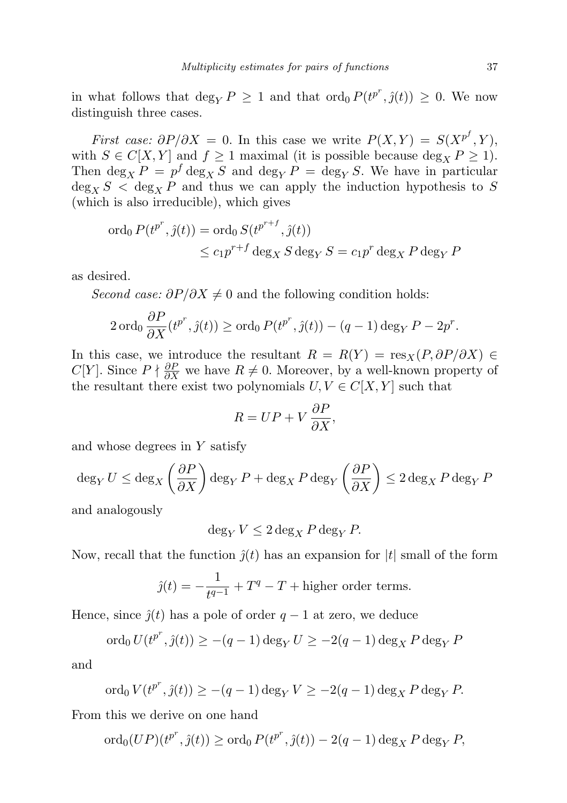in what follows that  $\deg_Y P \geq 1$  and that  $\text{ord}_0 P(t^{p^r}, \hat{J}(t)) \geq 0$ . We now distinguish three cases.

First case:  $\partial P/\partial X = 0$ . In this case we write  $P(X,Y) = S(X^{p^f}, Y)$ , with  $S \in C[X, Y]$  and  $f \ge 1$  maximal (it is possible because deg<sub>X</sub>  $P \ge 1$ ). Then  $\deg_X P = p^f \deg_X S$  and  $\deg_Y P = \deg_Y S$ . We have in particular  $\deg_X S < \deg_X P$  and thus we can apply the induction hypothesis to S (which is also irreducible), which gives

$$
\begin{aligned} \n\operatorname{ord}_0 P(t^{p^r}, \hat{\jmath}(t)) &= \operatorname{ord}_0 S(t^{p^{r+f}}, \hat{\jmath}(t)) \\ \n&\le c_1 p^{r+f} \operatorname{deg}_X S \operatorname{deg}_Y S = c_1 p^r \operatorname{deg}_X P \operatorname{deg}_Y P \n\end{aligned}
$$

as desired.

Second case:  $\partial P/\partial X \neq 0$  and the following condition holds:

$$
2 \operatorname{ord}_0 \frac{\partial P}{\partial X}(t^{p^r}, \hat{\jmath}(t)) \ge \operatorname{ord}_0 P(t^{p^r}, \hat{\jmath}(t)) - (q-1) \operatorname{deg}_Y P - 2p^r.
$$

In this case, we introduce the resultant  $R = R(Y) = \text{res}_X(P, \partial P/\partial X) \in$  $C[Y]$ . Since  $P \nmid \frac{\partial P}{\partial X}$  we have  $R \neq 0$ . Moreover, by a well-known property of the resultant there exist two polynomials  $U, V \in C[X, Y]$  such that

$$
R = UP + V \frac{\partial P}{\partial X},
$$

and whose degrees in Y satisfy

$$
\deg_Y U \le \deg_X \left(\frac{\partial P}{\partial X}\right) \deg_Y P + \deg_X P \deg_Y \left(\frac{\partial P}{\partial X}\right) \le 2 \deg_X P \deg_Y P
$$

and analogously

$$
\deg_Y V \le 2 \deg_X P \deg_Y P.
$$

Now, recall that the function  $\hat{j}(t)$  has an expansion for  $|t|$  small of the form

$$
\hat{j}(t) = -\frac{1}{t^{q-1}} + T^q - T + \text{higher order terms}.
$$

Hence, since  $\hat{j}(t)$  has a pole of order  $q-1$  at zero, we deduce

$$
\operatorname{ord}_0 U(t^{p^r}, \hat{J}(t)) \ge -(q-1)\operatorname{deg}_Y U \ge -2(q-1)\operatorname{deg}_X P \operatorname{deg}_Y P
$$

and

$$
\text{ord}_0 V(t^{p^r}, \hat{y}(t)) \ge -(q-1)\deg_Y V \ge -2(q-1)\deg_X P \deg_Y P.
$$

From this we derive on one hand

$$
\operatorname{ord}_0(UP)(t^{p^r}, \hat{y}(t)) \ge \operatorname{ord}_0 P(t^{p^r}, \hat{y}(t)) - 2(q-1) \operatorname{deg}_X P \operatorname{deg}_Y P,
$$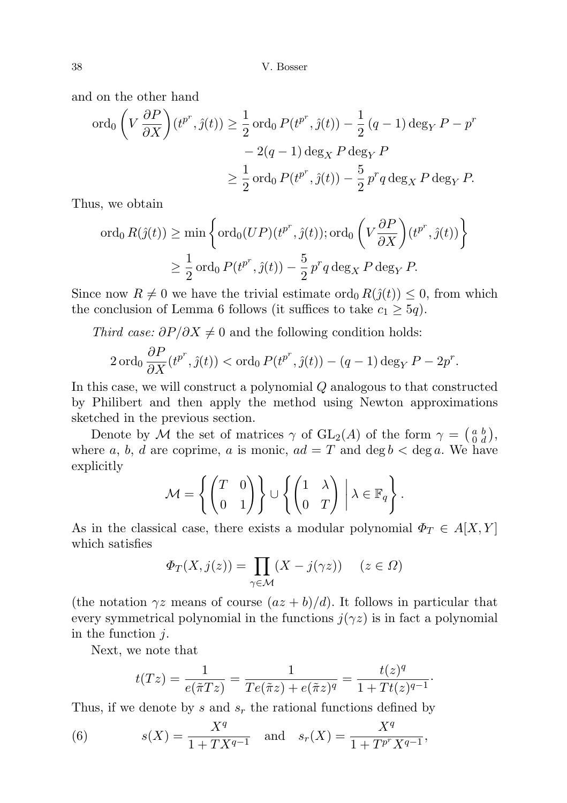and on the other hand

$$
\begin{aligned} \operatorname{ord}_0\left(V\,\frac{\partial P}{\partial X}\right)(t^{p^r},\hat{j}(t)) &\geq \frac{1}{2}\operatorname{ord}_0P(t^{p^r},\hat{j}(t)) - \frac{1}{2}\left(q-1\right)\deg_YP - p^r \\ &- 2(q-1)\deg_XP\deg_YP \\ &\geq \frac{1}{2}\operatorname{ord}_0P(t^{p^r},\hat{j}(t)) - \frac{5}{2}\,p^rq\deg_XP\deg_YP. \end{aligned}
$$

Thus, we obtain

$$
\begin{aligned} \n\text{ord}_0 \, R(\hat{\jmath}(t)) &\geq \min \left\{ \text{ord}_0(UP)(t^{p^r}, \hat{\jmath}(t)); \text{ord}_0\left(V\frac{\partial P}{\partial X}\right)(t^{p^r}, \hat{\jmath}(t)) \right\} \\ \n&\geq \frac{1}{2} \text{ord}_0 \, P(t^{p^r}, \hat{\jmath}(t)) - \frac{5}{2} \, p^r q \deg_X P \deg_Y P. \n\end{aligned}
$$

Since now  $R \neq 0$  we have the trivial estimate ord<sub>0</sub>  $R(j(t)) \leq 0$ , from which the conclusion of Lemma 6 follows (it suffices to take  $c_1 \geq 5q$ ).

Third case:  $\partial P/\partial X \neq 0$  and the following condition holds:

$$
2 \operatorname{ord}_0 \frac{\partial P}{\partial X}(t^{p^r}, \hat{\jmath}(t)) < \operatorname{ord}_0 P(t^{p^r}, \hat{\jmath}(t)) - (q-1) \operatorname{deg}_Y P - 2p^r.
$$

In this case, we will construct a polynomial Q analogous to that constructed by Philibert and then apply the method using Newton approximations sketched in the previous section.

Denote by M the set of matrices  $\gamma$  of  $GL_2(A)$  of the form  $\gamma = \begin{pmatrix} a & b \\ 0 & d \end{pmatrix}$ , where a, b, d are coprime, a is monic,  $ad = T$  and  $\deg b < \deg a$ . We have explicitly

$$
\mathcal{M} = \left\{ \begin{pmatrix} T & 0 \\ 0 & 1 \end{pmatrix} \right\} \cup \left\{ \begin{pmatrix} 1 & \lambda \\ 0 & T \end{pmatrix} \middle| \lambda \in \mathbb{F}_q \right\}.
$$

As in the classical case, there exists a modular polynomial  $\Phi_T \in A[X, Y]$ which satisfies

$$
\Phi_T(X, j(z)) = \prod_{\gamma \in \mathcal{M}} (X - j(\gamma z)) \quad (z \in \Omega)
$$

(the notation  $\gamma z$  means of course  $(az + b)/d$ ). It follows in particular that every symmetrical polynomial in the functions  $j(\gamma z)$  is in fact a polynomial in the function j.

Next, we note that

$$
t(Tz) = \frac{1}{e(\tilde{\pi}Tz)} = \frac{1}{Te(\tilde{\pi}z) + e(\tilde{\pi}z)^q} = \frac{t(z)^q}{1 + Tt(z)^{q-1}}.
$$

Thus, if we denote by s and  $s_r$  the rational functions defined by

(6) 
$$
s(X) = \frac{X^q}{1 + TX^{q-1}} \text{ and } s_r(X) = \frac{X^q}{1 + T^{p^r} X^{q-1}},
$$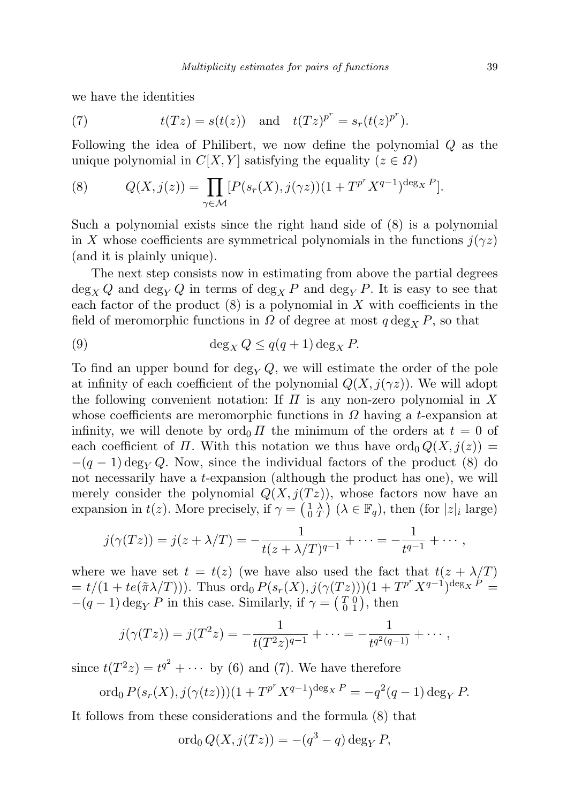we have the identities

(7) 
$$
t(Tz) = s(t(z)) \text{ and } t(Tz)^{p^r} = s_r(t(z)^{p^r}).
$$

Following the idea of Philibert, we now define the polynomial Q as the unique polynomial in  $C[X, Y]$  satisfying the equality  $(z \in \Omega)$ 

(8) 
$$
Q(X, j(z)) = \prod_{\gamma \in \mathcal{M}} [P(s_r(X), j(\gamma z))(1 + T^{p^r} X^{q-1})^{\deg_X P}].
$$

Such a polynomial exists since the right hand side of (8) is a polynomial in X whose coefficients are symmetrical polynomials in the functions  $j(\gamma z)$ (and it is plainly unique).

The next step consists now in estimating from above the partial degrees  $\deg_X Q$  and  $\deg_Y Q$  in terms of  $\deg_X P$  and  $\deg_Y P$ . It is easy to see that each factor of the product  $(8)$  is a polynomial in X with coefficients in the field of meromorphic functions in  $\Omega$  of degree at most  $q \deg_X P$ , so that

(9) 
$$
\deg_X Q \le q(q+1) \deg_X P.
$$

To find an upper bound for deg<sub>V</sub> Q, we will estimate the order of the pole at infinity of each coefficient of the polynomial  $Q(X, j(\gamma z))$ . We will adopt the following convenient notation: If  $\Pi$  is any non-zero polynomial in X whose coefficients are meromorphic functions in  $\Omega$  having a t-expansion at infinity, we will denote by  $\text{ord}_0 \Pi$  the minimum of the orders at  $t = 0$  of each coefficient of  $\Pi$ . With this notation we thus have  $\text{ord}_0 Q(X, j(z)) =$  $-(q-1) \deg_Y Q$ . Now, since the individual factors of the product (8) do not necessarily have a t-expansion (although the product has one), we will merely consider the polynomial  $Q(X, j(Tz))$ , whose factors now have an expansion in  $t(z)$ . More precisely, if  $\gamma = \left(\begin{smallmatrix} 1 & \lambda \\ 0 & T \end{smallmatrix}\right)$  ( $\lambda \in \mathbb{F}_q$ ), then (for  $|z|_i$  large)

$$
j(\gamma(Tz)) = j(z + \lambda/T) = -\frac{1}{t(z + \lambda/T)^{q-1}} + \cdots = -\frac{1}{t^{q-1}} + \cdots,
$$

where we have set  $t = t(z)$  (we have also used the fact that  $t(z + \lambda/T)$ )  $= t/(1 + te(\tilde{\pi}\lambda/T)))$ . Thus  $\overline{\text{ord}}_0 P(s_r(X), j(\gamma(Tz)))(1 + T^{p^r}X^{q-1})^{\text{deg}_X P} =$  $-(q-1) \deg_Y P$  in this case. Similarly, if  $\gamma = \begin{pmatrix} T & 0 \\ 0 & 1 \end{pmatrix}$ , then

$$
j(\gamma(Tz)) = j(T^2z) = -\frac{1}{t(T^2z)^{q-1}} + \cdots = -\frac{1}{t^{q^2(q-1)}} + \cdots,
$$

since  $t(T^2z) = t^{q^2} + \cdots$  by (6) and (7). We have therefore

$$
\text{ord}_0 P(s_r(X), j(\gamma(tz)))(1 + T^{p^r} X^{q-1})^{\deg_X P} = -q^2(q-1) \deg_Y P.
$$

It follows from these considerations and the formula (8) that

$$
\operatorname{ord}_0 Q(X, j(Tz)) = -(q^3 - q) \operatorname{deg}_Y P,
$$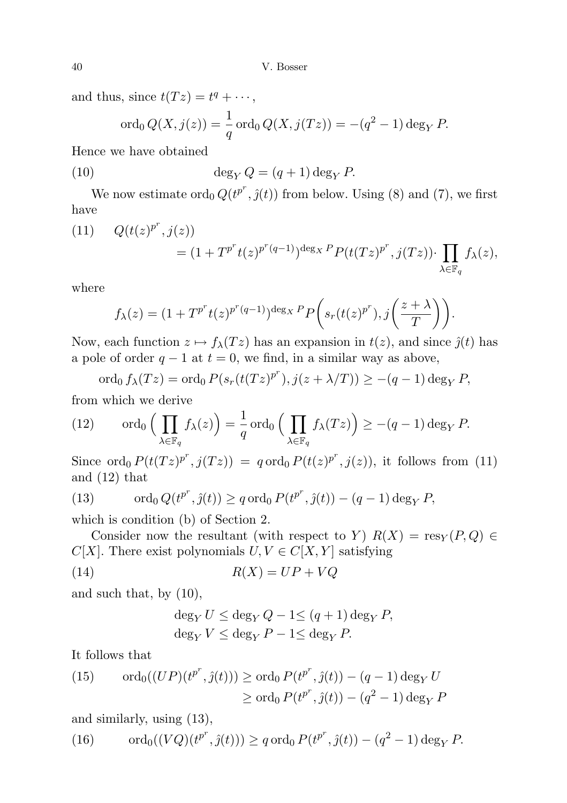and thus, since  $t(Tz) = t^q + \cdots$ ,

$$
\text{ord}_0 Q(X, j(z)) = \frac{1}{q} \text{ord}_0 Q(X, j(Tz)) = -(q^2 - 1) \deg_Y P.
$$

Hence we have obtained

(10) 
$$
\deg_Y Q = (q+1)\deg_Y P.
$$

We now estimate  $\text{ord}_0 Q(t^{p^r}, \hat{J}(t))$  from below. Using (8) and (7), we first have

(11) 
$$
Q(t(z)^{p^r}, j(z)) = (1 + T^{p^r}t(z)^{p^r(q-1)})^{\deg x} P(t(Tz)^{p^r}, j(Tz)) \cdot \prod_{\lambda \in \mathbb{F}_q} f_{\lambda}(z),
$$

where

$$
f_{\lambda}(z) = (1 + T^{p^r} t(z)^{p^r(q-1)})^{\deg_X P} P\left(s_r(t(z)^{p^r}), j\left(\frac{z+\lambda}{T}\right)\right).
$$

Now, each function  $z \mapsto f_{\lambda}(T z)$  has an expansion in  $t(z)$ , and since  $\hat{j}(t)$  has a pole of order  $q - 1$  at  $t = 0$ , we find, in a similar way as above,

$$
\operatorname{ord}_0 f_\lambda(Tz) = \operatorname{ord}_0 P(s_r(t(Tz)^{p^r}), j(z + \lambda/T)) \ge -(q-1)\deg_Y P,
$$
  
which we derive

from which we derive

(12) 
$$
\operatorname{ord}_0\Big(\prod_{\lambda\in\mathbb{F}_q}f_\lambda(z)\Big)=\frac{1}{q}\operatorname{ord}_0\Big(\prod_{\lambda\in\mathbb{F}_q}f_\lambda(Tz)\Big)\geq -(q-1)\operatorname{deg}_YP.
$$

Since ord<sub>0</sub>  $P(t(Tz)^{p^r}, j(Tz)) = q$  ord<sub>0</sub>  $P(t(z)^{p^r}, j(z))$ , it follows from (11) and (12) that

(13) 
$$
\operatorname{ord}_0 Q(t^{p^r}, \hat{y}(t)) \ge q \operatorname{ord}_0 P(t^{p^r}, \hat{y}(t)) - (q-1) \operatorname{deg}_Y P,
$$

which is condition (b) of Section 2.

Consider now the resultant (with respect to Y)  $R(X) = \text{res}_Y(P,Q) \in$  $C[X]$ . There exist polynomials  $U, V \in C[X, Y]$  satisfying

$$
(14) \t\t R(X) = UP + VQ
$$

and such that, by (10),

$$
\deg_Y U \le \deg_Y Q - 1 \le (q+1) \deg_Y P,
$$
  

$$
\deg_Y V \le \deg_Y P - 1 \le \deg_Y P.
$$

It follows that

(15) 
$$
\operatorname{ord}_0((UP)(t^{p^r}, \hat{y}(t))) \ge \operatorname{ord}_0 P(t^{p^r}, \hat{y}(t)) - (q - 1) \operatorname{deg}_Y U
$$

$$
\ge \operatorname{ord}_0 P(t^{p^r}, \hat{y}(t)) - (q^2 - 1) \operatorname{deg}_Y P
$$

and similarly, using (13),

(16) 
$$
\operatorname{ord}_0((VQ)(t^{p^r}, \hat{J}(t))) \ge q \operatorname{ord}_0 P(t^{p^r}, \hat{J}(t)) - (q^2 - 1) \operatorname{deg}_Y P.
$$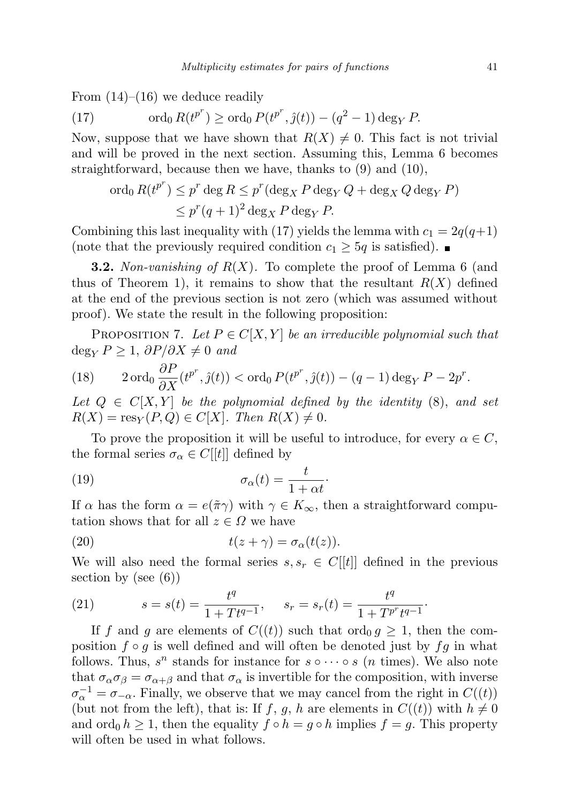From  $(14)$ – $(16)$  we deduce readily

(17) 
$$
\operatorname{ord}_0 R(t^{p^r}) \ge \operatorname{ord}_0 P(t^{p^r}, \hat{\jmath}(t)) - (q^2 - 1) \operatorname{deg}_Y P.
$$

Now, suppose that we have shown that  $R(X) \neq 0$ . This fact is not trivial and will be proved in the next section. Assuming this, Lemma 6 becomes straightforward, because then we have, thanks to (9) and (10),

$$
\begin{aligned} \n\operatorname{ord}_0 R(t^{p^r}) &\leq p^r \deg R \leq p^r (\deg_X P \deg_Y Q + \deg_X Q \deg_Y P) \\ \n&\leq p^r (q+1)^2 \deg_X P \deg_Y P. \n\end{aligned}
$$

Combining this last inequality with (17) yields the lemma with  $c_1 = 2q(q+1)$ (note that the previously required condition  $c_1 \geq 5q$  is satisfied).

**3.2.** Non-vanishing of  $R(X)$ . To complete the proof of Lemma 6 (and thus of Theorem 1), it remains to show that the resultant  $R(X)$  defined at the end of the previous section is not zero (which was assumed without proof). We state the result in the following proposition:

PROPOSITION 7. Let  $P \in C[X, Y]$  be an irreducible polynomial such that  $\deg_Y P \geq 1$ ,  $\partial P/\partial X \neq 0$  and

(18) 
$$
2 \operatorname{ord}_0 \frac{\partial P}{\partial X}(t^{p^r}, \hat{\jmath}(t)) < \operatorname{ord}_0 P(t^{p^r}, \hat{\jmath}(t)) - (q-1) \operatorname{deg}_Y P - 2p^r.
$$

Let  $Q \in C[X, Y]$  be the polynomial defined by the identity (8), and set  $R(X) = \text{res}_Y(P,Q) \in C[X]$ . Then  $R(X) \neq 0$ .

To prove the proposition it will be useful to introduce, for every  $\alpha \in C$ , the formal series  $\sigma_{\alpha} \in C[[t]]$  defined by

(19) 
$$
\sigma_{\alpha}(t) = \frac{t}{1 + \alpha t}.
$$

If  $\alpha$  has the form  $\alpha = e(\tilde{\pi}\gamma)$  with  $\gamma \in K_{\infty}$ , then a straightforward computation shows that for all  $z \in \Omega$  we have

(20) 
$$
t(z+\gamma) = \sigma_{\alpha}(t(z)).
$$

We will also need the formal series  $s, s_r \in C[[t]]$  defined in the previous section by (see  $(6)$ )

(21) 
$$
s = s(t) = \frac{t^q}{1 + T t^{q-1}}, \quad s_r = s_r(t) = \frac{t^q}{1 + T^{p^r} t^{q-1}}.
$$

If f and g are elements of  $C((t))$  such that ord<sub>0</sub>  $g \geq 1$ , then the composition  $f \circ g$  is well defined and will often be denoted just by  $fg$  in what follows. Thus,  $s^n$  stands for instance for  $s \circ \cdots \circ s$  (*n* times). We also note that  $\sigma_{\alpha}\sigma_{\beta} = \sigma_{\alpha+\beta}$  and that  $\sigma_{\alpha}$  is invertible for the composition, with inverse  $\sigma_{\alpha}^{-1} = \sigma_{-\alpha}$ . Finally, we observe that we may cancel from the right in  $C((t))$ (but not from the left), that is: If f, g, h are elements in  $C((t))$  with  $h \neq 0$ and ord<sub>0</sub>  $h \geq 1$ , then the equality  $f \circ h = g \circ h$  implies  $f = g$ . This property will often be used in what follows.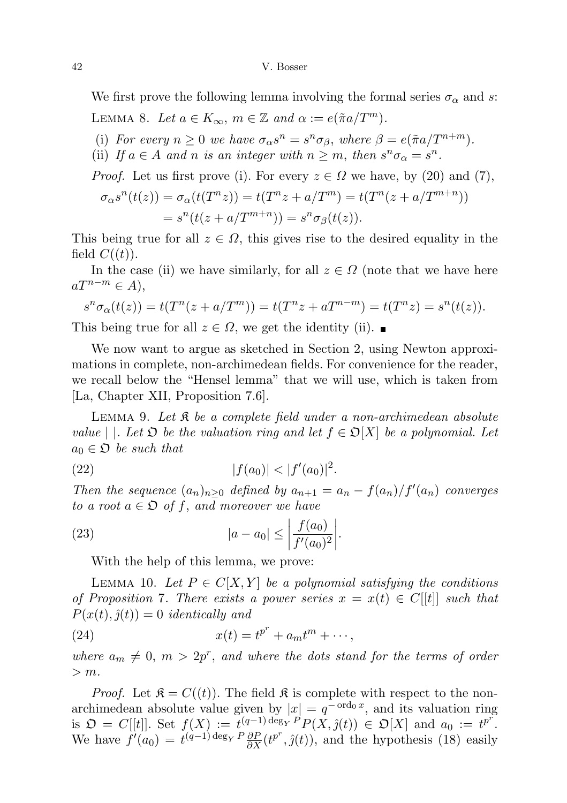We first prove the following lemma involving the formal series  $\sigma_{\alpha}$  and s: LEMMA 8. Let  $a \in K_{\infty}$ ,  $m \in \mathbb{Z}$  and  $\alpha := e(\tilde{\pi}a/T^m)$ .

(i) For every  $n \geq 0$  we have  $\sigma_{\alpha} s^n = s^n \sigma_{\beta}$ , where  $\beta = e(\tilde{\pi} a / T^{n+m})$ .

(ii) If  $a \in A$  and n is an integer with  $n \geq m$ , then  $s^n \sigma_\alpha = s^n$ .

*Proof.* Let us first prove (i). For every  $z \in \Omega$  we have, by (20) and (7),

$$
\sigma_{\alpha}s^{n}(t(z)) = \sigma_{\alpha}(t(T^{n}z)) = t(T^{n}z + a/T^{m}) = t(T^{n}(z + a/T^{m+n}))
$$
  
=  $s^{n}(t(z + a/T^{m+n})) = s^{n}\sigma_{\beta}(t(z)).$ 

This being true for all  $z \in \Omega$ , this gives rise to the desired equality in the field  $C((t))$ .

In the case (ii) we have similarly, for all  $z \in \Omega$  (note that we have here  $aT^{n-m} \in A$ ,

$$
s^n \sigma_{\alpha}(t(z)) = t(T^n(z + a/T^m)) = t(T^n z + aT^{n-m}) = t(T^n z) = s^n(t(z)).
$$

This being true for all  $z \in \Omega$ , we get the identity (ii).

We now want to argue as sketched in Section 2, using Newton approximations in complete, non-archimedean fields. For convenience for the reader, we recall below the "Hensel lemma" that we will use, which is taken from [La, Chapter XII, Proposition 7.6].

LEMMA 9. Let  $\mathfrak K$  be a complete field under a non-archimedean absolute value | |. Let  $\mathfrak D$  be the valuation ring and let  $f \in \mathfrak D[X]$  be a polynomial. Let  $a_0 \in \mathfrak{O}$  be such that

(22) 
$$
|f(a_0)| < |f'(a_0)|^2.
$$

Then the sequence  $(a_n)_{n\geq 0}$  defined by  $a_{n+1} = a_n - \frac{f(a_n)}{f'(a_n)}$  converges to a root  $a \in \mathfrak{O}$  of f, and moreover we have

(23) 
$$
|a - a_0| \le \left| \frac{f(a_0)}{f'(a_0)^2} \right|.
$$

With the help of this lemma, we prove:

LEMMA 10. Let  $P \in C[X, Y]$  be a polynomial satisfying the conditions of Proposition 7. There exists a power series  $x = x(t) \in C[[t]]$  such that  $P(x(t), \hat{y}(t)) = 0$  identically and

(24) 
$$
x(t) = t^{p^r} + a_m t^m + \cdots,
$$

where  $a_m \neq 0, m > 2p^r$ , and where the dots stand for the terms of order  $> m$ .

*Proof.* Let  $\mathfrak{K} = C((t))$ . The field  $\mathfrak{K}$  is complete with respect to the nonarchimedean absolute value given by  $|x| = q^{-\text{ord}_0 x}$ , and its valuation ring is  $\mathfrak{O} = C[[t]]$ . Set  $f(X) := t^{(q-1) \deg_Y P} P(X, \hat{y}(t)) \in \mathfrak{O}[X]$  and  $a_0 := t^{p^r}$ . We have  $f'(a_0) = t^{(q-1)\deg_Y P} \frac{\partial P}{\partial X}(t^{p^r}, \hat{J}(t))$ , and the hypothesis (18) easily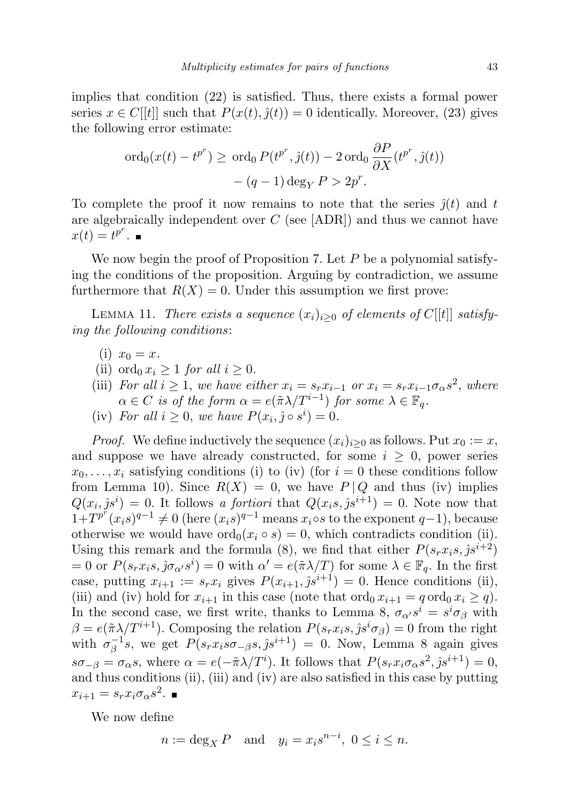implies that condition (22) is satisfied. Thus, there exists a formal power series  $x \in C[[t]]$  such that  $P(x(t), \hat{y}(t)) = 0$  identically. Moreover, (23) gives the following error estimate:

$$
\operatorname{ord}_0(x(t) - t^{p^r}) \ge \operatorname{ord}_0 P(t^{p^r}, \hat{y}(t)) - 2 \operatorname{ord}_0 \frac{\partial P}{\partial X}(t^{p^r}, \hat{y}(t)) - (q - 1) \operatorname{deg}_Y P > 2p^r.
$$

To complete the proof it now remains to note that the series  $\hat{j}(t)$  and t are algebraically independent over C (see [ADR]) and thus we cannot have  $x(t) = t^{p^r}.$ 

We now begin the proof of Proposition 7. Let  $P$  be a polynomial satisfying the conditions of the proposition. Arguing by contradiction, we assume furthermore that  $R(X) = 0$ . Under this assumption we first prove:

LEMMA 11. There exists a sequence  $(x_i)_{i\geq 0}$  of elements of  $C[[t]]$  satisfying the following conditions:

- (i)  $x_0 = x$ .
- (ii) ord<sub>0</sub>  $x_i > 1$  for all  $i > 0$ .
- (iii) For all  $i \geq 1$ , we have either  $x_i = s_r x_{i-1}$  or  $x_i = s_r x_{i-1} \sigma_\alpha s^2$ , where  $\alpha \in C$  is of the form  $\alpha = e(\tilde{\pi} \lambda / T^{i-1})$  for some  $\lambda \in \mathbb{F}_q$ .
- (iv) For all  $i \geq 0$ , we have  $P(x_i, \hat{j} \circ s^i) = 0$ .

*Proof.* We define inductively the sequence  $(x_i)_{i>0}$  as follows. Put  $x_0 := x$ , and suppose we have already constructed, for some  $i \geq 0$ , power series  $x_0, \ldots, x_i$  satisfying conditions (i) to (iv) (for  $i = 0$  these conditions follow from Lemma 10). Since  $R(X) = 0$ , we have  $P | Q$  and thus (iv) implies  $Q(x_i, \hat{j} s^i) = 0$ . It follows a fortiori that  $Q(x_i s, \hat{j} s^{i+1}) = 0$ . Note now that  $1+T^{p^r}(x_is)^{q-1}\neq 0$  (here  $(x_is)^{q-1}$  means  $x_is$  to the exponent  $q-1$ ), because otherwise we would have  $\text{ord}_0(x_i \circ s) = 0$ , which contradicts condition (ii). Using this remark and the formula (8), we find that either  $P(s_rx_is,\hat{j}s^{i+2})$ = 0 or  $P(s_r x_i s, \hat{j} \sigma_{\alpha'} s^i) = 0$  with  $\alpha' = e(\tilde{\pi} \lambda/T)$  for some  $\lambda \in \mathbb{F}_q$ . In the first case, putting  $x_{i+1} := s_r x_i$  gives  $P(x_{i+1}, \hat{j} s^{i+1}) = 0$ . Hence conditions (ii), (iii) and (iv) hold for  $x_{i+1}$  in this case (note that  $\operatorname{ord}_0 x_{i+1} = q \operatorname{ord}_0 x_i \ge q$ ). In the second case, we first write, thanks to Lemma 8,  $\sigma_{\alpha'} s^i = s^i \sigma_{\beta}$  with  $\beta = e(\pi \lambda/T^{i+1})$ . Composing the relation  $P(s_r x_i s, \hat{j} s^i \sigma_\beta) = 0$  from the right with  $\sigma^{-1}_\beta$  $\beta^{-1}s$ , we get  $P(s_rx_is\sigma_{-\beta}s,\hat{j}s^{i+1}) = 0$ . Now, Lemma 8 again gives  $s\sigma_{-\beta} = \sigma_{\alpha}s$ , where  $\alpha = e(-\tilde{\pi}\lambda/T^i)$ . It follows that  $P(s_rx_i\sigma_{\alpha}s^2, \hat{j}s^{i+1}) = 0$ , and thus conditions (ii), (iii) and (iv) are also satisfied in this case by putting  $x_{i+1} = s_r x_i \sigma_\alpha s^2.$ 

We now define

$$
n := \deg_X P \quad \text{and} \quad y_i = x_i s^{n-i}, \ 0 \le i \le n.
$$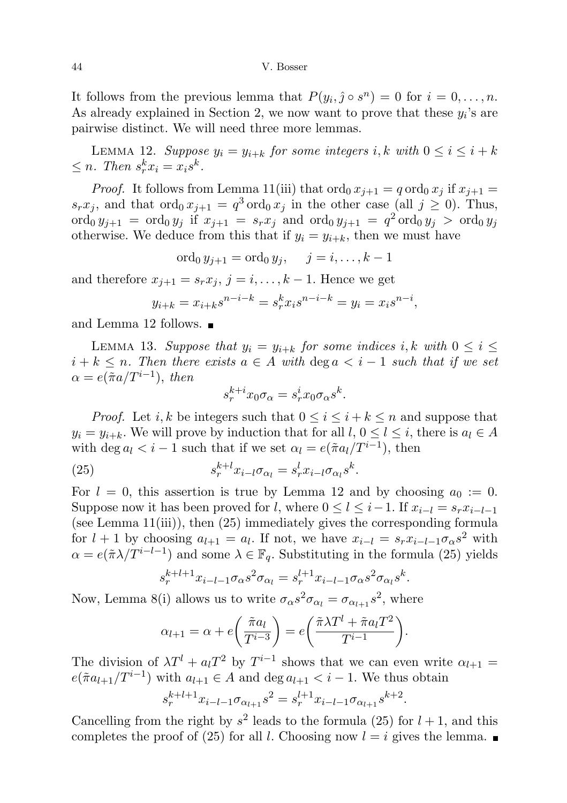It follows from the previous lemma that  $P(y_i, \hat{j} \circ s^n) = 0$  for  $i = 0, \ldots, n$ . As already explained in Section 2, we now want to prove that these  $y_i$ 's are pairwise distinct. We will need three more lemmas.

LEMMA 12. Suppose  $y_i = y_{i+k}$  for some integers i, k with  $0 \leq i \leq i+k$  $\leq n$ . Then  $s_r^k x_i = x_i s^k$ .

*Proof.* It follows from Lemma 11(iii) that  $\text{ord}_0 x_{i+1} = q \text{ ord}_0 x_i$  if  $x_{i+1} =$  $s_r x_j$ , and that  $\text{ord}_0 x_{j+1} = q^3 \text{ord}_0 x_j$  in the other case (all  $j \geq 0$ ). Thus,  $\text{ord}_0 y_{j+1} = \text{ord}_0 y_j \text{ if } x_{j+1} = s_r x_j \text{ and } \text{ord}_0 y_{j+1} = q^2 \text{ ord}_0 y_j > \text{ord}_0 y_j$ otherwise. We deduce from this that if  $y_i = y_{i+k}$ , then we must have

ord<sub>0</sub>  $y_{i+1} =$ ord<sub>0</sub>  $y_i$ ,  $j = i, ..., k - 1$ 

and therefore  $x_{j+1} = s_r x_j$ ,  $j = i, ..., k - 1$ . Hence we get

$$
y_{i+k} = x_{i+k} s^{n-i-k} = s_r^k x_i s^{n-i-k} = y_i = x_i s^{n-i},
$$

and Lemma 12 follows.

LEMMA 13. Suppose that  $y_i = y_{i+k}$  for some indices i, k with  $0 \leq i \leq$  $i + k \leq n$ . Then there exists  $a \in A$  with  $\deg a < i - 1$  such that if we set  $\alpha = e(\tilde{\pi}a/T^{i-1}), \text{ then}$ 

$$
s_r^{k+i} x_0 \sigma_\alpha = s_r^i x_0 \sigma_\alpha s^k.
$$

*Proof.* Let *i*, *k* be integers such that  $0 \le i \le i + k \le n$  and suppose that  $y_i = y_{i+k}$ . We will prove by induction that for all  $l, 0 \le l \le i$ , there is  $a_l \in A$ with deg  $a_l < i - 1$  such that if we set  $\alpha_l = e(\tilde{\pi} a_l / T^{i-1})$ , then

(25) 
$$
s_r^{k+l} x_{i-l} \sigma_{\alpha_l} = s_r^l x_{i-l} \sigma_{\alpha_l} s^k.
$$

For  $l = 0$ , this assertion is true by Lemma 12 and by choosing  $a_0 := 0$ . Suppose now it has been proved for l, where  $0 \leq l \leq i-1$ . If  $x_{i-l} = s_r x_{i-l-1}$ (see Lemma 11(iii)), then (25) immediately gives the corresponding formula for  $l + 1$  by choosing  $a_{l+1} = a_l$ . If not, we have  $x_{i-l} = s_r x_{i-l-1} \sigma_\alpha s^2$  with  $\alpha = e(\tilde{\pi}\lambda/T^{i-l-1})$  and some  $\lambda \in \mathbb{F}_q$ . Substituting in the formula (25) yields

$$
s_r^{k+l+1} x_{i-l-1} \sigma_\alpha s^2 \sigma_{\alpha_l} = s_r^{l+1} x_{i-l-1} \sigma_\alpha s^2 \sigma_{\alpha_l} s^k.
$$

Now, Lemma 8(i) allows us to write  $\sigma_{\alpha}s^2 \sigma_{\alpha_l} = \sigma_{\alpha_{l+1}} s^2$ , where

$$
\alpha_{l+1} = \alpha + e\left(\frac{\tilde{\pi}a_l}{T^{i-3}}\right) = e\left(\frac{\tilde{\pi}\lambda T^l + \tilde{\pi}a_lT^2}{T^{i-1}}\right).
$$

The division of  $\lambda T^{l} + a_{l}T^{2}$  by  $T^{i-1}$  shows that we can even write  $\alpha_{l+1} =$  $e(\tilde{\pi}a_{l+1}/T^{i-1})$  with  $a_{l+1} \in A$  and  $\deg a_{l+1} < i-1$ . We thus obtain

$$
s_r^{k+l+1} x_{i-l-1} \sigma_{\alpha_{l+1}} s^2 = s_r^{l+1} x_{i-l-1} \sigma_{\alpha_{l+1}} s^{k+2}
$$

.

Cancelling from the right by  $s^2$  leads to the formula (25) for  $l + 1$ , and this completes the proof of (25) for all l. Choosing now  $l = i$  gives the lemma.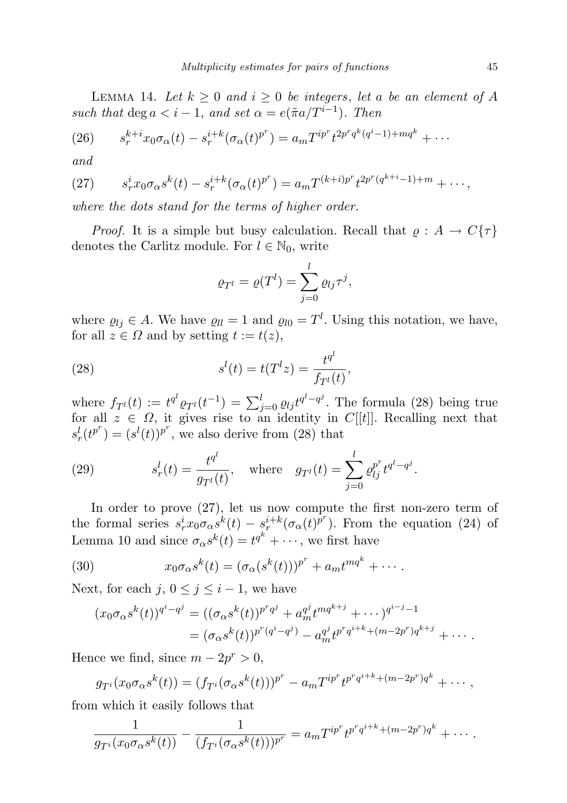LEMMA 14. Let  $k \geq 0$  and  $i \geq 0$  be integers, let a be an element of A such that  $\deg a < i - 1$ , and set  $\alpha = e(\tilde{\pi}a/T^{i-1})$ . Then

(26) 
$$
s_r^{k+i} x_0 \sigma_\alpha(t) - s_r^{i+k} (\sigma_\alpha(t)^{p^r}) = a_m T^{ip^r} t^{2p^r q^k (q^i - 1) + m q^k} + \cdots
$$

and

(27) 
$$
s_r^i x_0 \sigma_\alpha s^k(t) - s_r^{i+k} (\sigma_\alpha(t)^{p^r}) = a_m T^{(k+i)p^r} t^{2p^r (q^{k+i}-1) + m} + \cdots,
$$

where the dots stand for the terms of higher order.

*Proof.* It is a simple but busy calculation. Recall that  $\varrho : A \to C\{\tau\}$ denotes the Carlitz module. For  $l \in \mathbb{N}_0$ , write

$$
\varrho_{T^{l}} = \varrho(T^{l}) = \sum_{j=0}^{l} \varrho_{lj} \tau^{j},
$$

where  $\rho_{lj} \in A$ . We have  $\rho_{ll} = 1$  and  $\rho_{l0} = T^l$ . Using this notation, we have, for all  $z \in \Omega$  and by setting  $t := t(z)$ ,

(28) 
$$
s^{l}(t) = t(T^{l}z) = \frac{t^{q^{l}}}{f_{T^{l}}(t)},
$$

where  $f_{T}(t) := t^{q^l} \varrho_{T}(t^{-1}) = \sum_{j=0}^l \varrho_{lj} t^{q^l - q^j}$ . The formula (28) being true for all  $z \in \Omega$ , it gives rise to an identity in C[[t]]. Recalling next that  $s_r^l(t^{p^r}) = (s^l(t))^{p^r}$ , we also derive from (28) that

(29) 
$$
s_r^l(t) = \frac{t^{q^l}}{g_{T^l}(t)}, \text{ where } g_{T^l}(t) = \sum_{j=0}^l \varrho_{lj}^{p^r} t^{q^l - q^j}.
$$

In order to prove (27), let us now compute the first non-zero term of the formal series  $s_r^i x_0 \sigma_\alpha s^k(t) - s_r^{i+k} (\sigma_\alpha(t)^{p^r})$ . From the equation (24) of Lemma 10 and since  $\sigma_{\alpha}s^k(t) = t^{q^k} + \cdots$ , we first have

(30) 
$$
x_0 \sigma_\alpha s^k(t) = (\sigma_\alpha(s^k(t)))^{p^r} + a_m t^{mq^k} + \cdots
$$

Next, for each j,  $0 \leq j \leq i - 1$ , we have

$$
(x_0 \sigma_\alpha s^k(t))^{q^i - q^j} = ((\sigma_\alpha s^k(t))^{p^r q^j} + a_m^{q^j} t^{mq^{k+j}} + \cdots)^{q^{i-j}-1}
$$
  
= 
$$
(\sigma_\alpha s^k(t))^{p^r (q^i - q^j)} - a_m^{q^j} t^{p^r q^{i+k} + (m-2p^r)q^{k+j}} + \cdots
$$

Hence we find, since  $m - 2p^r > 0$ ,

$$
g_{T^{i}}(x_{0}\sigma_{\alpha}s^{k}(t)) = (f_{T^{i}}(\sigma_{\alpha}s^{k}(t)))^{p^{r}} - a_{m}T^{ip^{r}}t^{p^{r}q^{i+k}+(m-2p^{r})q^{k}} + \cdots,
$$

from which it easily follows that

$$
\frac{1}{g_{T^{i}}(x_0 \sigma_\alpha s^k(t))} - \frac{1}{(f_{T^{i}}(\sigma_\alpha s^k(t)))^{p^r}} = a_m T^{ip^r} t^{p^r q^{i+k} + (m-2p^r)q^k} + \cdots
$$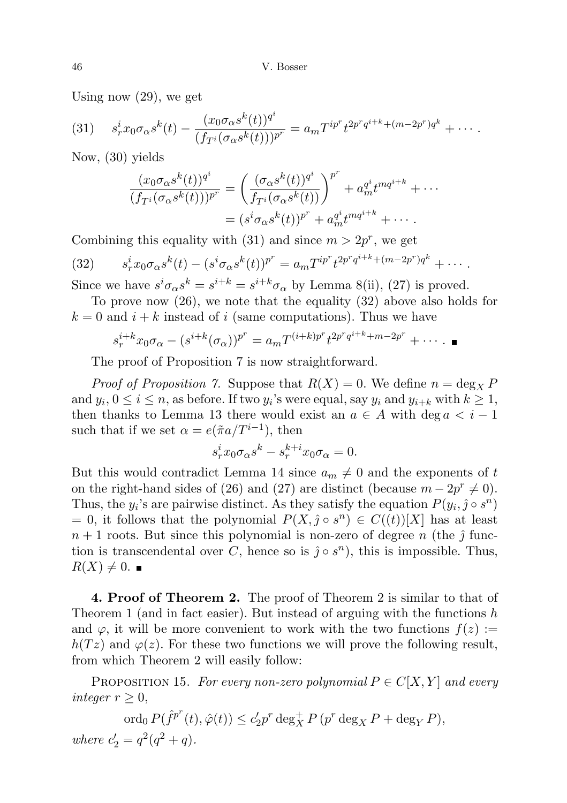Using now (29), we get

(31) 
$$
s_r^i x_0 \sigma_\alpha s^k(t) - \frac{(x_0 \sigma_\alpha s^k(t))^{q^i}}{(f_{T^i}(\sigma_\alpha s^k(t)))^{p^r}} = a_m T^{ip^r} t^{2p^r q^{i+k} + (m-2p^r)q^k} + \cdots
$$

Now, (30) yields

$$
\frac{(x_0 \sigma_\alpha s^k(t))^{q^i}}{(f_{T^i}(\sigma_\alpha s^k(t)))^{p^r}} = \left(\frac{(\sigma_\alpha s^k(t))^{q^i}}{f_{T^i}(\sigma_\alpha s^k(t))}\right)^{p^r} + a_m^{q^i} t^{mq^{i+k}} + \cdots
$$

$$
= (s^i \sigma_\alpha s^k(t))^{p^r} + a_m^{q^i} t^{mq^{i+k}} + \cdots
$$

Combining this equality with (31) and since  $m > 2p^r$ , we get

(32) 
$$
s_r^i x_0 \sigma_\alpha s^k(t) - (s^i \sigma_\alpha s^k(t))^{p^r} = a_m T^{ip^r} t^{2p^r q^{i+k} + (m-2p^r)q^k} + \cdots
$$
  
Since we have  $s^i \sigma_\alpha s^k = s^{i+k} = s^{i+k} \sigma_\alpha$  by Lemma 8(ii), (27) is proved.

To prove now (26), we note that the equality (32) above also holds for

 $k = 0$  and  $i + k$  instead of i (same computations). Thus we have

$$
s_r^{i+k}x_0\sigma_\alpha - (s^{i+k}(\sigma_\alpha))^{p^r} = a_m T^{(i+k)p^r} t^{2p^r q^{i+k} + m - 2p^r} + \cdots
$$

The proof of Proposition 7 is now straightforward.

*Proof of Proposition 7.* Suppose that  $R(X) = 0$ . We define  $n = \deg_X P$ and  $y_i, 0 \le i \le n$ , as before. If two  $y_i$ 's were equal, say  $y_i$  and  $y_{i+k}$  with  $k \ge 1$ , then thanks to Lemma 13 there would exist an  $a \in A$  with deg  $a < i - 1$ such that if we set  $\alpha = e(\tilde{\pi}a/T^{i-1}),$  then

$$
s_r^i x_0 \sigma_\alpha s^k - s_r^{k+i} x_0 \sigma_\alpha = 0.
$$

But this would contradict Lemma 14 since  $a_m \neq 0$  and the exponents of t on the right-hand sides of (26) and (27) are distinct (because  $m - 2p^r \neq 0$ ). Thus, the  $y_i$ 's are pairwise distinct. As they satisfy the equation  $P(y_i, \hat{j} \circ s^n)$  $= 0$ , it follows that the polynomial  $P(X, \hat{j} \circ s^n) \in C((t))[X]$  has at least  $n+1$  roots. But since this polynomial is non-zero of degree n (the  $\hat{j}$  function is transcendental over C, hence so is  $\hat{j} \circ s^n$ , this is impossible. Thus,  $R(X) \neq 0$ .

4. Proof of Theorem 2. The proof of Theorem 2 is similar to that of Theorem 1 (and in fact easier). But instead of arguing with the functions  $h$ and  $\varphi$ , it will be more convenient to work with the two functions  $f(z) :=$  $h(Tz)$  and  $\varphi(z)$ . For these two functions we will prove the following result, from which Theorem 2 will easily follow:

PROPOSITION 15. For every non-zero polynomial  $P \in C[X, Y]$  and every integer  $r \geq 0$ ,

$$
\operatorname{ord}_0 P(\hat{f}^{p^r}(t),\hat{\varphi}(t))\leq c_2'p^r\deg_X^+P\left(p^r\deg_X P+\deg_Y P\right),
$$
 where  $c_2'=q^2(q^2+q).$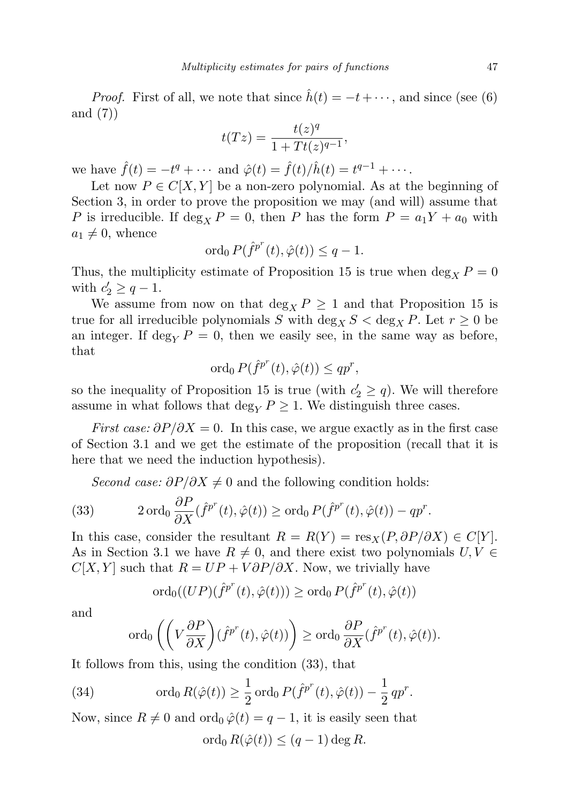*Proof.* First of all, we note that since  $h(t) = -t + \cdots$ , and since (see (6)) and (7))

$$
t(Tz) = \frac{t(z)^q}{1+Tt(z)^{q-1}},
$$

we have  $\hat{f}(t) = -t^q + \cdots$  and  $\hat{\varphi}(t) = \hat{f}(t)/\hat{h}(t) = t^{q-1} + \cdots$ .

Let now  $P \in C[X, Y]$  be a non-zero polynomial. As at the beginning of Section 3, in order to prove the proposition we may (and will) assume that P is irreducible. If  $\deg_X P = 0$ , then P has the form  $P = a_1 Y + a_0$  with  $a_1 \neq 0$ , whence

$$
\operatorname{ord}_0 P(\hat{f}^{p^r}(t), \hat{\varphi}(t)) \le q - 1.
$$

Thus, the multiplicity estimate of Proposition 15 is true when  $\deg_X P = 0$ with  $c'_2 \geq q-1$ .

We assume from now on that deg<sub>X</sub>  $P \ge 1$  and that Proposition 15 is true for all irreducible polynomials S with  $\deg_X S < \deg_X P$ . Let  $r \geq 0$  be an integer. If deg<sub>Y</sub>  $P = 0$ , then we easily see, in the same way as before, that

$$
\operatorname{ord}_0 P(\hat{f}^{p^r}(t), \hat{\varphi}(t)) \leq q p^r,
$$

so the inequality of Proposition 15 is true (with  $c'_2 \geq q$ ). We will therefore assume in what follows that deg<sub>Y</sub>  $P \geq 1$ . We distinguish three cases.

First case:  $\partial P/\partial X = 0$ . In this case, we argue exactly as in the first case of Section 3.1 and we get the estimate of the proposition (recall that it is here that we need the induction hypothesis).

Second case:  $\partial P/\partial X \neq 0$  and the following condition holds:

(33) 
$$
2 \operatorname{ord}_0 \frac{\partial P}{\partial X}(\hat{f}^{p^r}(t), \hat{\varphi}(t)) \geq \operatorname{ord}_0 P(\hat{f}^{p^r}(t), \hat{\varphi}(t)) - qp^r.
$$

In this case, consider the resultant  $R = R(Y) = \text{res}_X(P, \partial P/\partial X) \in C[Y]$ . As in Section 3.1 we have  $R \neq 0$ , and there exist two polynomials  $U, V \in$  $C[X, Y]$  such that  $R = UP + V \frac{\partial P}{\partial X}$ . Now, we trivially have

$$
\mathrm{ord}_0((UP)(\hat{f}^{p^r}(t),\hat{\varphi}(t))) \geq \mathrm{ord}_0 \, P(\hat{f}^{p^r}(t),\hat{\varphi}(t))
$$

and

$$
\operatorname{ord}_0\left(\left(V\frac{\partial P}{\partial X}\right)(\hat{f}^{p^r}(t),\hat{\varphi}(t))\right)\geq \operatorname{ord}_0\frac{\partial P}{\partial X}(\hat{f}^{p^r}(t),\hat{\varphi}(t)).
$$

It follows from this, using the condition (33), that

(34) 
$$
\operatorname{ord}_0 R(\hat{\varphi}(t)) \geq \frac{1}{2} \operatorname{ord}_0 P(\hat{f}^{p^r}(t), \hat{\varphi}(t)) - \frac{1}{2} q p^r.
$$

Now, since  $R \neq 0$  and ord<sub>0</sub>  $\hat{\varphi}(t) = q - 1$ , it is easily seen that

$$
\operatorname{ord}_0 R(\hat{\varphi}(t)) \le (q-1)\deg R.
$$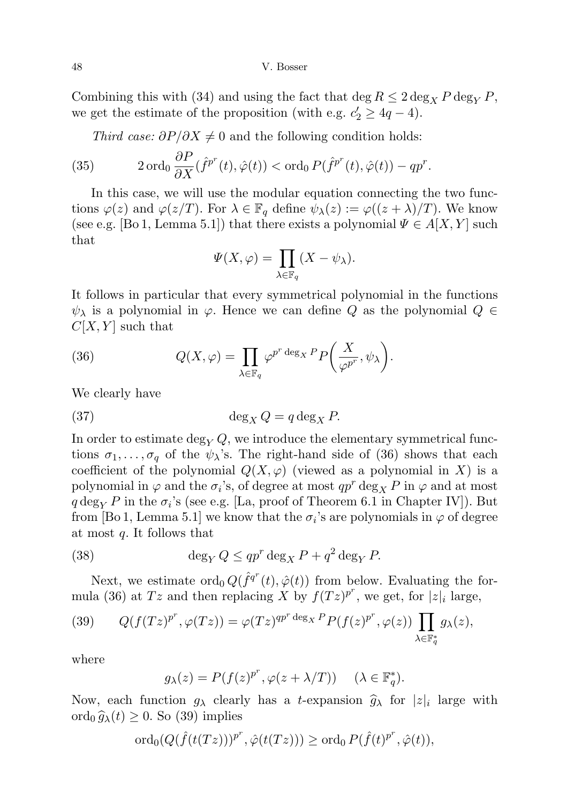Combining this with (34) and using the fact that deg  $R \leq 2 \deg_X P \deg_Y P$ , we get the estimate of the proposition (with e.g.  $c'_2 \geq 4q - 4$ ).

Third case:  $\partial P/\partial X \neq 0$  and the following condition holds:

(35) 
$$
2 \operatorname{ord}_0 \frac{\partial P}{\partial X}(\hat{f}^{p^r}(t), \hat{\varphi}(t)) < \operatorname{ord}_0 P(\hat{f}^{p^r}(t), \hat{\varphi}(t)) - qp^r.
$$

In this case, we will use the modular equation connecting the two functions  $\varphi(z)$  and  $\varphi(z/T)$ . For  $\lambda \in \mathbb{F}_q$  define  $\psi_{\lambda}(z) := \varphi((z + \lambda)/T)$ . We know (see e.g. [Bo 1, Lemma 5.1]) that there exists a polynomial  $\Psi \in A[X, Y]$  such that

$$
\Psi(X,\varphi) = \prod_{\lambda \in \mathbb{F}_q} (X - \psi_{\lambda}).
$$

It follows in particular that every symmetrical polynomial in the functions  $\psi_{\lambda}$  is a polynomial in  $\varphi$ . Hence we can define Q as the polynomial  $Q \in$  $C[X, Y]$  such that

(36) 
$$
Q(X,\varphi) = \prod_{\lambda \in \mathbb{F}_q} \varphi^{p^r \deg_X P} P\left(\frac{X}{\varphi^{p^r}}, \psi_\lambda\right).
$$

We clearly have

(37) 
$$
\deg_X Q = q \deg_X P.
$$

In order to estimate deg<sub>Y</sub>  $Q$ , we introduce the elementary symmetrical functions  $\sigma_1, \ldots, \sigma_q$  of the  $\psi_\lambda$ 's. The right-hand side of (36) shows that each coefficient of the polynomial  $Q(X, \varphi)$  (viewed as a polynomial in X) is a polynomial in  $\varphi$  and the  $\sigma_i$ 's, of degree at most  $qp^r \deg_X P$  in  $\varphi$  and at most  $q \deg_Y P$  in the  $\sigma_i$ 's (see e.g. [La, proof of Theorem 6.1 in Chapter IV]). But from [Bo 1, Lemma 5.1] we know that the  $\sigma_i$ 's are polynomials in  $\varphi$  of degree at most  $q$ . It follows that

(38) 
$$
\deg_Y Q \le q p^r \deg_X P + q^2 \deg_Y P.
$$

Next, we estimate  $\text{ord}_0 Q(\hat{f}^{q^r}(t), \hat{\varphi}(t))$  from below. Evaluating the formula (36) at Tz and then replacing X by  $f(Tz)^{p^r}$ , we get, for  $|z|_i$  large,

(39) 
$$
Q(f(Tz)^{p^r}, \varphi(Tz)) = \varphi(Tz)^{qp^r \deg_X P} P(f(z)^{p^r}, \varphi(z)) \prod_{\lambda \in \mathbb{F}_q^*} g_{\lambda}(z),
$$

where

$$
g_{\lambda}(z) = P(f(z)^{p^r}, \varphi(z + \lambda/T)) \quad (\lambda \in \mathbb{F}_q^*).
$$

Now, each function  $g_{\lambda}$  clearly has a *t*-expansion  $\hat{g}_{\lambda}$  for  $|z|_i$  large with orde  $\hat{g}_i(t) > 0$ , So (30) implies ord<sub>0</sub>  $\hat{g}_{\lambda}(t) \geq 0$ . So (39) implies

$$
\operatorname{ord}_0(Q(\hat{f}(t(Tz)))^{p^r}, \hat{\varphi}(t(Tz))) \geq \operatorname{ord}_0 P(\hat{f}(t)^{p^r}, \hat{\varphi}(t)),
$$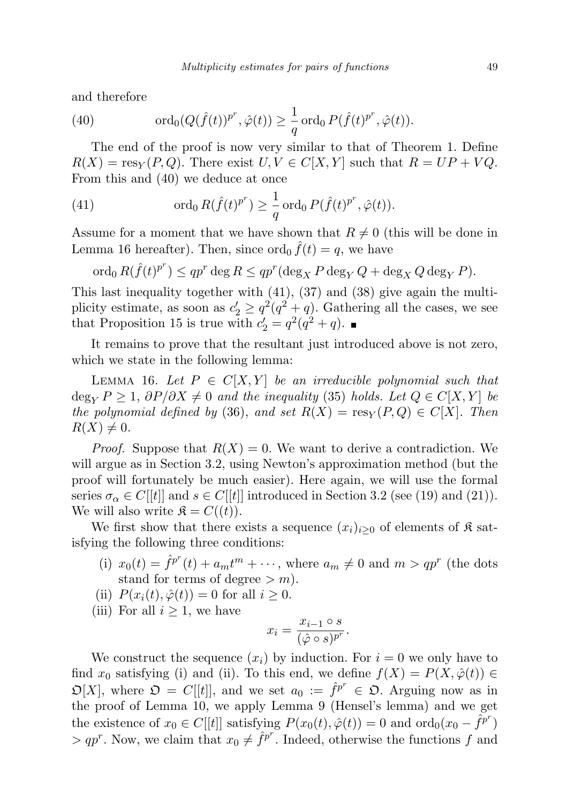and therefore

(40) 
$$
\operatorname{ord}_0(Q(\hat{f}(t))^{p^r}, \hat{\varphi}(t)) \geq \frac{1}{q} \operatorname{ord}_0 P(\hat{f}(t)^{p^r}, \hat{\varphi}(t)).
$$

The end of the proof is now very similar to that of Theorem 1. Define  $R(X) = \text{res}_Y(P,Q)$ . There exist  $U, V \in C[X, Y]$  such that  $R = UP + VQ$ . From this and (40) we deduce at once

(41) 
$$
\operatorname{ord}_0 R(\hat{f}(t)^{p^r}) \geq \frac{1}{q} \operatorname{ord}_0 P(\hat{f}(t)^{p^r}, \hat{\varphi}(t)).
$$

Assume for a moment that we have shown that  $R \neq 0$  (this will be done in Lemma 16 hereafter). Then, since  $\operatorname{ord}_0 \hat{f}(t) = q$ , we have

 $\operatorname{ord}_0 R(\hat{f}(t)^{p^r}) \leq qp^r \deg R \leq qp^r(\deg_X P \deg_Y Q + \deg_X Q \deg_Y P).$ 

This last inequality together with (41), (37) and (38) give again the multiplicity estimate, as soon as  $c'_2 \geq q^2(q^2+q)$ . Gathering all the cases, we see that Proposition 15 is true with  $c'_2 = q^2(q^2 + q)$ .

It remains to prove that the resultant just introduced above is not zero, which we state in the following lemma:

LEMMA 16. Let  $P \in C[X, Y]$  be an irreducible polynomial such that  $\deg_{Y} P > 1$ ,  $\partial P/\partial X \neq 0$  and the inequality (35) holds. Let  $Q \in C[X, Y]$  be the polynomial defined by (36), and set  $R(X) = \text{res}_Y(P,Q) \in C[X]$ . Then  $R(X) \neq 0.$ 

*Proof.* Suppose that  $R(X) = 0$ . We want to derive a contradiction. We will argue as in Section 3.2, using Newton's approximation method (but the proof will fortunately be much easier). Here again, we will use the formal series  $\sigma_{\alpha} \in C[[t]]$  and  $s \in C[[t]]$  introduced in Section 3.2 (see (19) and (21)). We will also write  $\mathfrak{K} = C((t)).$ 

We first show that there exists a sequence  $(x_i)_{i\geq 0}$  of elements of  $\mathfrak K$  satisfying the following three conditions:

- (i)  $x_0(t) = \hat{f}^{p^r}(t) + a_m t^m + \cdots$ , where  $a_m \neq 0$  and  $m > qp^r$  (the dots stand for terms of degree  $> m$ ).
- (ii)  $P(x_i(t), \hat{\varphi}(t)) = 0$  for all  $i \geq 0$ .
- (iii) For all  $i \geq 1$ , we have

$$
x_i = \frac{x_{i-1} \circ s}{(\hat{\varphi} \circ s)^{p^r}}.
$$

We construct the sequence  $(x_i)$  by induction. For  $i = 0$  we only have to find  $x_0$  satisfying (i) and (ii). To this end, we define  $f(X) = P(X, \hat{\varphi}(t)) \in$  $\mathfrak{O}[X]$ , where  $\mathfrak{O} = C[[t]]$ , and we set  $a_0 := \hat{f}^{p^r} \in \mathfrak{O}$ . Arguing now as in the proof of Lemma 10, we apply Lemma 9 (Hensel's lemma) and we get the existence of  $x_0 \in C[[t]]$  satisfying  $P(x_0(t), \hat{\varphi}(t)) = 0$  and  $\text{ord}_0(x_0 - \hat{f}^{p^r})$  $> qp^r$ . Now, we claim that  $x_0 \neq \hat{f}^{p^r}$ . Indeed, otherwise the functions f and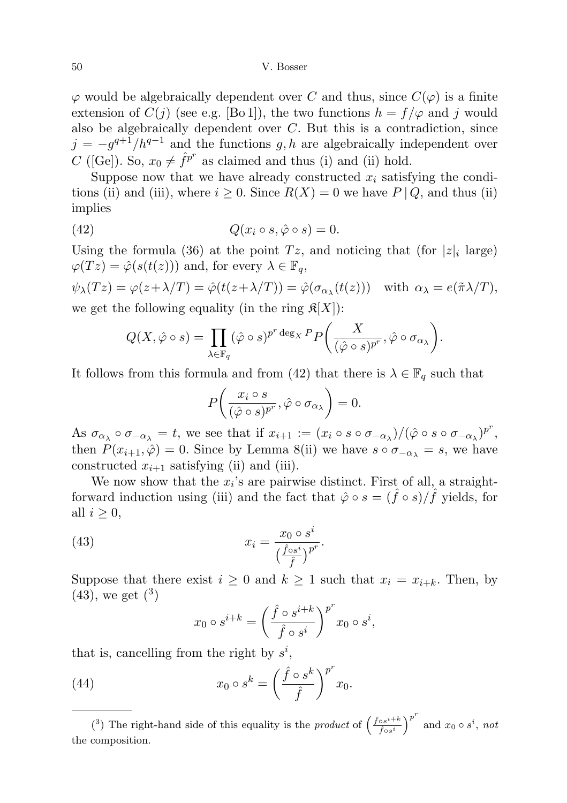$\varphi$  would be algebraically dependent over C and thus, since  $C(\varphi)$  is a finite extension of  $C(j)$  (see e.g. [Bo 1]), the two functions  $h = f/\varphi$  and j would also be algebraically dependent over  $C$ . But this is a contradiction, since  $j = -g^{q+1}/h^{q-1}$  and the functions g, h are algebraically independent over C ([Ge]). So,  $x_0 \neq \hat{f}^{p^r}$  as claimed and thus (i) and (ii) hold.

Suppose now that we have already constructed  $x_i$  satisfying the conditions (ii) and (iii), where  $i \geq 0$ . Since  $R(X) = 0$  we have  $P \mid Q$ , and thus (ii) implies

(42) 
$$
Q(x_i \circ s, \hat{\varphi} \circ s) = 0.
$$

Using the formula (36) at the point  $Tz$ , and noticing that (for  $|z|_i$  large)  $\varphi(Tz) = \hat{\varphi}(s(t(z)))$  and, for every  $\lambda \in \mathbb{F}_q$ ,

 $\psi_{\lambda}(Tz) = \varphi(z + \lambda/T) = \hat{\varphi}(t(z + \lambda/T)) = \hat{\varphi}(\sigma_{\alpha_{\lambda}}(t(z)))$  with  $\alpha_{\lambda} = e(\tilde{\pi}\lambda/T)$ , we get the following equality (in the ring  $\mathfrak{K}[X]$ ):

$$
Q(X, \hat{\varphi} \circ s) = \prod_{\lambda \in \mathbb{F}_q} (\hat{\varphi} \circ s)^{p^r \deg_X P} P \bigg( \frac{X}{(\hat{\varphi} \circ s)^{p^r}}, \hat{\varphi} \circ \sigma_{\alpha_{\lambda}} \bigg).
$$

It follows from this formula and from (42) that there is  $\lambda \in \mathbb{F}_q$  such that

$$
P\bigg(\frac{x_i \circ s}{(\hat{\varphi} \circ s)^{p^r}}, \hat{\varphi} \circ \sigma_{\alpha_{\lambda}}\bigg) = 0.
$$

As  $\sigma_{\alpha_{\lambda}} \circ \sigma_{-\alpha_{\lambda}} = t$ , we see that if  $x_{i+1} := (x_i \circ s \circ \sigma_{-\alpha_{\lambda}})/(\hat{\varphi} \circ s \circ \sigma_{-\alpha_{\lambda}})^{p^r}$ , then  $P(x_{i+1}, \hat{\varphi}) = 0$ . Since by Lemma 8(ii) we have  $s \circ \sigma_{-\alpha_{\lambda}} = s$ , we have constructed  $x_{i+1}$  satisfying (ii) and (iii).

We now show that the  $x_i$ 's are pairwise distinct. First of all, a straightforward induction using (iii) and the fact that  $\hat{\varphi} \circ s = (\hat{f} \circ s)/\hat{f}$  yields, for all  $i \geq 0$ ,

(43) 
$$
x_i = \frac{x_0 \circ s^i}{\left(\frac{\hat{f} \circ s^i}{\hat{f}}\right)^{pr}}.
$$

Suppose that there exist  $i \geq 0$  and  $k \geq 1$  such that  $x_i = x_{i+k}$ . Then, by  $(43)$ , we get  $(3)$ 

$$
x_0 \circ s^{i+k} = \left(\frac{\hat f \circ s^{i+k}}{\hat f \circ s^i}\right)^{p^r} x_0 \circ s^i,
$$

that is, cancelling from the right by  $s^i$ ,

(44) 
$$
x_0 \circ s^k = \left(\frac{\hat{f} \circ s^k}{\hat{f}}\right)^{p^r} x_0.
$$

(<sup>3</sup>) The right-hand side of this equality is the product of  $\left(\frac{\hat{f} \circ s^{i+k}}{\hat{f} \circ s^{i+k}}\right)$  $\left(\frac{\delta s^{i+k}}{\delta s^{i}}\right)^{p^r}$  and  $x_0 \circ s^i$ , not the composition.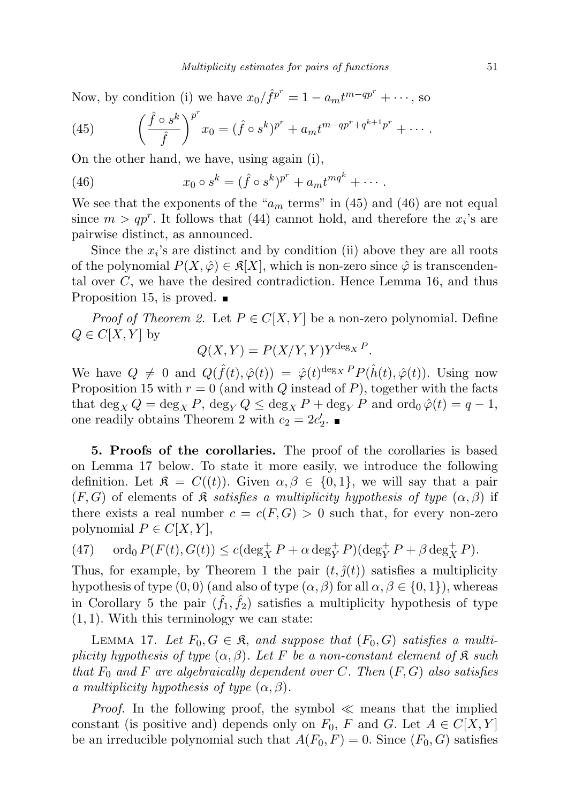Now, by condition (i) we have  $x_0 / \hat{f}^{p^r} = 1 - a_m t^{m - qp^r} + \cdots$ , so

(45) 
$$
\left(\frac{\hat{f} \circ s^k}{\hat{f}}\right)^{p^r} x_0 = (\hat{f} \circ s^k)^{p^r} + a_m t^{m - qp^r + q^{k+1}p^r} + \cdots
$$

On the other hand, we have, using again (i),

(46) 
$$
x_0 \circ s^k = (\hat{f} \circ s^k)^{p^r} + a_m t^{mq^k} + \cdots
$$

We see that the exponents of the " $a_m$  terms" in (45) and (46) are not equal since  $m > qp^r$ . It follows that (44) cannot hold, and therefore the  $x_i$ 's are pairwise distinct, as announced.

Since the  $x_i$ 's are distinct and by condition (ii) above they are all roots of the polynomial  $P(X, \hat{\varphi}) \in \mathfrak{K}[X]$ , which is non-zero since  $\hat{\varphi}$  is transcendental over C, we have the desired contradiction. Hence Lemma 16, and thus Proposition 15, is proved.  $\blacksquare$ 

*Proof of Theorem 2.* Let  $P \in C[X, Y]$  be a non-zero polynomial. Define  $Q \in C[X, Y]$  by

$$
Q(X,Y) = P(X/Y,Y)Y^{\deg_X P}.
$$

We have  $Q \neq 0$  and  $Q(\hat{f}(t), \hat{\varphi}(t)) = \hat{\varphi}(t)^{\deg_X P} P(\hat{h}(t), \hat{\varphi}(t))$ . Using now Proposition 15 with  $r = 0$  (and with Q instead of P), together with the facts that  $\deg_X Q = \deg_X P$ ,  $\deg_Y Q \leq \deg_X P + \deg_Y P$  and  $\operatorname{ord}_0 \hat{\varphi}(t) = q - 1$ , one readily obtains Theorem 2 with  $c_2 = 2c'_2$ .

5. Proofs of the corollaries. The proof of the corollaries is based on Lemma 17 below. To state it more easily, we introduce the following definition. Let  $\mathfrak{K} = C((t))$ . Given  $\alpha, \beta \in \{0,1\}$ , we will say that a pair  $(F, G)$  of elements of  $\mathfrak K$  satisfies a multiplicity hypothesis of type  $(\alpha, \beta)$  if there exists a real number  $c = c(F, G) > 0$  such that, for every non-zero polynomial  $P \in C[X, Y]$ ,

(47)  $\text{ord}_0 P(F(t), G(t)) \leq c(\text{deg}_X^+ P + \alpha \text{deg}_Y^+ P)(\text{deg}_Y^+ P + \beta \text{deg}_X^+ P).$ 

Thus, for example, by Theorem 1 the pair  $(t, \hat{y}(t))$  satisfies a multiplicity hypothesis of type  $(0, 0)$  (and also of type  $(\alpha, \beta)$  for all  $\alpha, \beta \in \{0, 1\}$ ), whereas in Corollary 5 the pair  $(\hat{f}_1, \hat{f}_2)$  satisfies a multiplicity hypothesis of type  $(1, 1)$ . With this terminology we can state:

LEMMA 17. Let  $F_0, G \in \mathfrak{K}$ , and suppose that  $(F_0, G)$  satisfies a multiplicity hypothesis of type  $(\alpha, \beta)$ . Let F be a non-constant element of  $\mathfrak K$  such that  $F_0$  and F are algebraically dependent over C. Then  $(F, G)$  also satisfies a multiplicity hypothesis of type  $(\alpha, \beta)$ .

*Proof.* In the following proof, the symbol  $\ll$  means that the implied constant (is positive and) depends only on  $F_0$ , F and G. Let  $A \in C[X, Y]$ be an irreducible polynomial such that  $A(F_0, F) = 0$ . Since  $(F_0, G)$  satisfies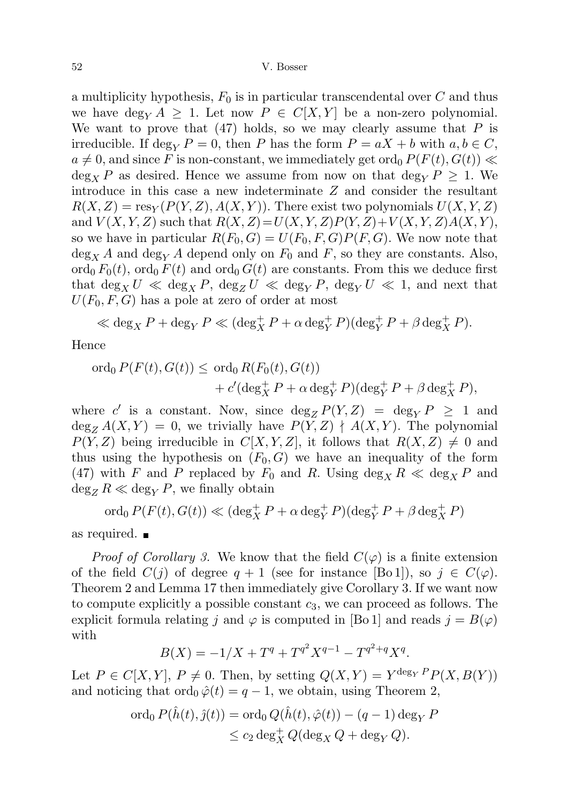a multiplicity hypothesis,  $F_0$  is in particular transcendental over C and thus we have  $\deg_Y A \geq 1$ . Let now  $P \in C[X, Y]$  be a non-zero polynomial. We want to prove that  $(47)$  holds, so we may clearly assume that P is irreducible. If deg<sub>Y</sub>  $P = 0$ , then P has the form  $P = aX + b$  with  $a, b \in C$ ,  $a \neq 0$ , and since F is non-constant, we immediately get ord<sub>0</sub>  $P(F(t), G(t))$   $\ll$  $\deg_X P$  as desired. Hence we assume from now on that  $\deg_Y P \geq 1$ . We introduce in this case a new indeterminate Z and consider the resultant  $R(X, Z) = \text{res}_Y(P(Y, Z), A(X, Y))$ . There exist two polynomials  $U(X, Y, Z)$ and  $V(X, Y, Z)$  such that  $R(X, Z) = U(X, Y, Z)P(Y, Z)+V(X, Y, Z)A(X, Y),$ so we have in particular  $R(F_0, G) = U(F_0, F, G)P(F, G)$ . We now note that  $\deg_X A$  and  $\deg_Y A$  depend only on  $F_0$  and F, so they are constants. Also, ord<sub>0</sub>  $F_0(t)$ , ord<sub>0</sub>  $F(t)$  and ord<sub>0</sub>  $G(t)$  are constants. From this we deduce first that  $\deg_X U \ll \deg_X P$ ,  $\deg_Z U \ll \deg_Y P$ ,  $\deg_Y U \ll 1$ , and next that  $U(F_0, F, G)$  has a pole at zero of order at most

$$
\ll \deg_X P + \deg_Y P \ll (\deg_X^+ P + \alpha \deg_Y^+ P)(\deg_Y^+ P + \beta \deg_X^+ P).
$$

Hence

$$
\begin{aligned} \n\text{ord}_0 \, P(F(t), G(t)) &\leq \, \text{ord}_0 \, R(F_0(t), G(t)) \\ \n&\quad + c' (\text{deg}_X^+ P + \alpha \, \text{deg}_Y^+ P) (\text{deg}_Y^+ P + \beta \, \text{deg}_X^+ P), \n\end{aligned}
$$

where c' is a constant. Now, since  $\deg_Z P(Y, Z) = \deg_Y P \ge 1$  and  $\deg_Z A(X, Y) = 0$ , we trivially have  $P(Y, Z) \nmid A(X, Y)$ . The polynomial  $P(Y, Z)$  being irreducible in  $C[X, Y, Z]$ , it follows that  $R(X, Z) \neq 0$  and thus using the hypothesis on  $(F_0, G)$  we have an inequality of the form (47) with F and P replaced by  $F_0$  and R. Using  $\deg_X R \ll \deg_X P$  and  $\deg_Z R \ll \deg_Y P$ , we finally obtain

$$
\operatorname{ord}_0 P(F(t), G(t)) \ll (\deg_X^+ P + \alpha \deg_Y^+ P)(\deg_Y^+ P + \beta \deg_X^+ P)
$$

as required.

*Proof of Corollary 3.* We know that the field  $C(\varphi)$  is a finite extension of the field  $C(j)$  of degree  $q + 1$  (see for instance [Bo 1]), so  $j \in C(\varphi)$ . Theorem 2 and Lemma 17 then immediately give Corollary 3. If we want now to compute explicitly a possible constant  $c_3$ , we can proceed as follows. The explicit formula relating j and  $\varphi$  is computed in [Bo 1] and reads  $j = B(\varphi)$ with

$$
B(X) = -1/X + T^{q} + T^{q^{2}}X^{q-1} - T^{q^{2}+q}X^{q}.
$$

Let  $P \in C[X, Y], P \neq 0$ . Then, by setting  $Q(X, Y) = Y^{\deg_Y P} P(X, B(Y))$ and noticing that  $\text{ord}_0 \hat{\varphi}(t) = q - 1$ , we obtain, using Theorem 2,

$$
\begin{aligned} \n\text{ord}_0 \, P(\hat{h}(t), \hat{\jmath}(t)) &= \text{ord}_0 \, Q(\hat{h}(t), \hat{\varphi}(t)) - (q - 1) \deg_Y P \\ \n&\leq c_2 \deg_X^+ Q(\deg_X Q + \deg_Y Q). \n\end{aligned}
$$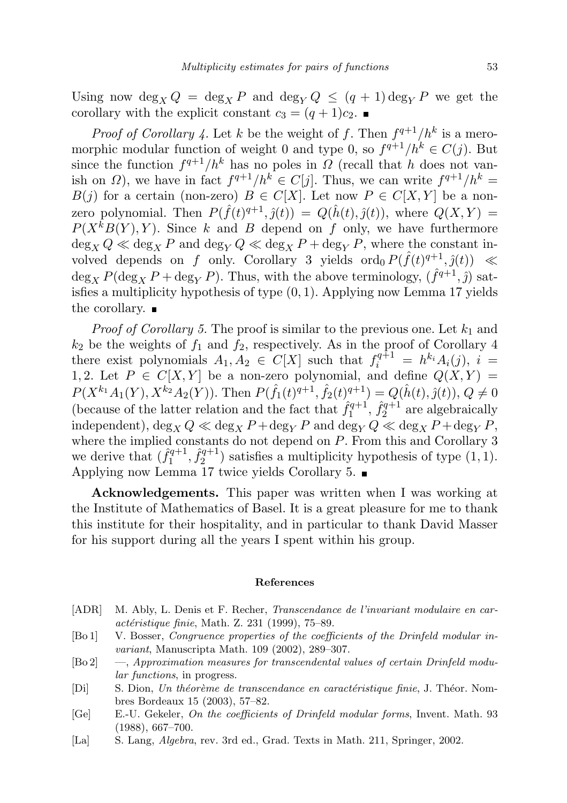Using now deg<sub>X</sub>  $Q = \deg_x P$  and  $\deg_V Q \leq (q+1) \deg_V P$  we get the corollary with the explicit constant  $c_3 = (q+1)c_2$ .

*Proof of Corollary 4.* Let k be the weight of f. Then  $f^{q+1}/h^k$  is a meromorphic modular function of weight 0 and type 0, so  $f^{q+1}/h^k \in C(j)$ . But since the function  $f^{q+1}/h^k$  has no poles in  $\Omega$  (recall that h does not vanish on  $\Omega$ ), we have in fact  $f^{q+1}/h^k \in C[j]$ . Thus, we can write  $f^{q+1}/h^k =$  $B(j)$  for a certain (non-zero)  $B \in C[X]$ . Let now  $P \in C[X,Y]$  be a nonzero polynomial. Then  $P(\hat{f}(t)^{q+1}, \hat{j}(t)) = Q(\hat{h}(t), \hat{j}(t)),$  where  $Q(X, Y) =$  $P(X^k B(Y), Y)$ . Since k and B depend on f only, we have furthermore  $\deg_X Q \ll \deg_X P$  and  $\deg_Y Q \ll \deg_X P + \deg_Y P$ , where the constant involved depends on f only. Corollary 3 yields  $\text{ord}_0 P(\hat{f}(t)^{q+1}, \hat{g}(t)) \ll$  $\deg_X P(\deg_X P + \deg_Y P)$ . Thus, with the above terminology,  $(\hat{f}^{q+1}, \hat{j})$  satisfies a multiplicity hypothesis of type  $(0, 1)$ . Applying now Lemma 17 yields the corollary.  $\blacksquare$ 

*Proof of Corollary 5.* The proof is similar to the previous one. Let  $k_1$  and  $k_2$  be the weights of  $f_1$  and  $f_2$ , respectively. As in the proof of Corollary 4 there exist polynomials  $A_1, A_2 \in C[X]$  such that  $f_i^{q+1} = h^{k_i} A_i(j), i =$ 1, 2. Let  $P \in C[X, Y]$  be a non-zero polynomial, and define  $Q(X, Y) =$  $P(X^{k_1}A_1(Y), X^{k_2}A_2(Y))$ . Then  $P(\hat{f}_1(t)^{q+1}, \hat{f}_2(t)^{q+1}) = Q(\hat{h}(t), \hat{g}(t)), Q \neq 0$ (because of the latter relation and the fact that  $\hat{f}_1^{q+1}$  $\hat{f}_1^{q+1}, \hat{f}_2^{q+1}$  $2^{q+1}$  are algebraically independent),  $\deg_X Q \ll \deg_X P + \deg_Y P$  and  $\deg_Y Q \ll \deg_X P + \deg_Y P$ , where the implied constants do not depend on  $P$ . From this and Corollary 3 we derive that  $(\hat{f}_1^{q+1})$  $\hat{f}_1^{q+1}, \hat{f}_2^{q+1}$  $2^{q+1}$ ) satisfies a multiplicity hypothesis of type  $(1, 1)$ . Applying now Lemma 17 twice yields Corollary 5.

Acknowledgements. This paper was written when I was working at the Institute of Mathematics of Basel. It is a great pleasure for me to thank this institute for their hospitality, and in particular to thank David Masser for his support during all the years I spent within his group.

#### References

- [ADR] M. Ably, L. Denis et F. Recher, Transcendance de l'invariant modulaire en car- $\alpha$ ctéristique finie, Math. Z. 231 (1999), 75–89.
- [Bo 1] V. Bosser, Congruence properties of the coefficients of the Drinfeld modular invariant, Manuscripta Math. 109 (2002), 289–307.
- [Bo 2] —, Approximation measures for transcendental values of certain Drinfeld modular functions, in progress.
- [Di] S. Dion, Un théorème de transcendance en caractéristique finie, J. Théor. Nombres Bordeaux 15 (2003), 57–82.
- [Ge] E.-U. Gekeler, On the coefficients of Drinfeld modular forms, Invent. Math. 93 (1988), 667–700.
- [La] S. Lang, Algebra, rev. 3rd ed., Grad. Texts in Math. 211, Springer, 2002.